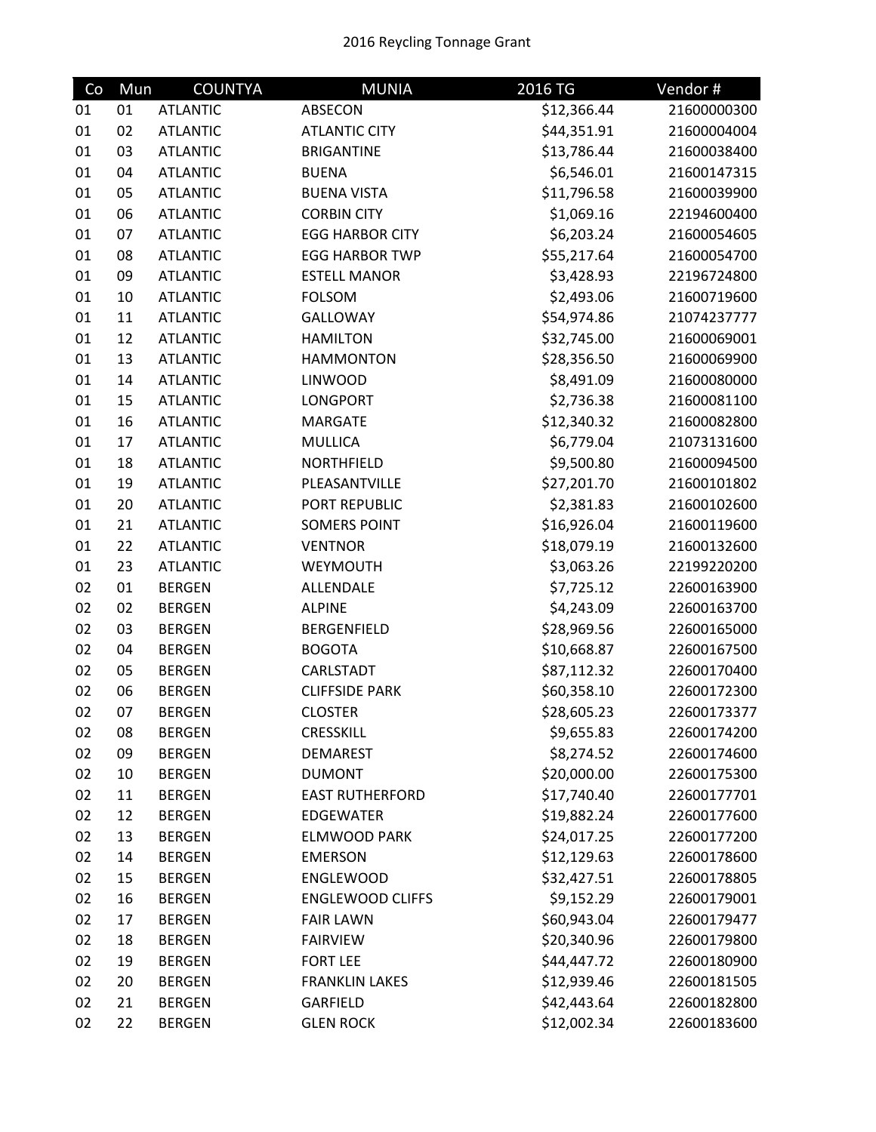## 2016 Reycling Tonnage Grant

| Co | Mun | <b>COUNTYA</b>  | <b>MUNIA</b>            | 2016 TG     | Vendor#     |
|----|-----|-----------------|-------------------------|-------------|-------------|
| 01 | 01  | <b>ATLANTIC</b> | ABSECON                 | \$12,366.44 | 21600000300 |
| 01 | 02  | <b>ATLANTIC</b> | <b>ATLANTIC CITY</b>    | \$44,351.91 | 21600004004 |
| 01 | 03  | <b>ATLANTIC</b> | <b>BRIGANTINE</b>       | \$13,786.44 | 21600038400 |
| 01 | 04  | <b>ATLANTIC</b> | <b>BUENA</b>            | \$6,546.01  | 21600147315 |
| 01 | 05  | <b>ATLANTIC</b> | <b>BUENA VISTA</b>      | \$11,796.58 | 21600039900 |
| 01 | 06  | <b>ATLANTIC</b> | <b>CORBIN CITY</b>      | \$1,069.16  | 22194600400 |
| 01 | 07  | <b>ATLANTIC</b> | <b>EGG HARBOR CITY</b>  | \$6,203.24  | 21600054605 |
| 01 | 08  | <b>ATLANTIC</b> | <b>EGG HARBOR TWP</b>   | \$55,217.64 | 21600054700 |
| 01 | 09  | <b>ATLANTIC</b> | <b>ESTELL MANOR</b>     | \$3,428.93  | 22196724800 |
| 01 | 10  | <b>ATLANTIC</b> | <b>FOLSOM</b>           | \$2,493.06  | 21600719600 |
| 01 | 11  | <b>ATLANTIC</b> | <b>GALLOWAY</b>         | \$54,974.86 | 21074237777 |
| 01 | 12  | <b>ATLANTIC</b> | <b>HAMILTON</b>         | \$32,745.00 | 21600069001 |
| 01 | 13  | <b>ATLANTIC</b> | <b>HAMMONTON</b>        | \$28,356.50 | 21600069900 |
| 01 | 14  | <b>ATLANTIC</b> | <b>LINWOOD</b>          | \$8,491.09  | 21600080000 |
| 01 | 15  | <b>ATLANTIC</b> | <b>LONGPORT</b>         | \$2,736.38  | 21600081100 |
| 01 | 16  | <b>ATLANTIC</b> | <b>MARGATE</b>          | \$12,340.32 | 21600082800 |
| 01 | 17  | <b>ATLANTIC</b> | <b>MULLICA</b>          | \$6,779.04  | 21073131600 |
| 01 | 18  | <b>ATLANTIC</b> | <b>NORTHFIELD</b>       | \$9,500.80  | 21600094500 |
| 01 | 19  | <b>ATLANTIC</b> | PLEASANTVILLE           | \$27,201.70 | 21600101802 |
| 01 | 20  | <b>ATLANTIC</b> | PORT REPUBLIC           | \$2,381.83  | 21600102600 |
| 01 | 21  | <b>ATLANTIC</b> | <b>SOMERS POINT</b>     | \$16,926.04 | 21600119600 |
| 01 | 22  | <b>ATLANTIC</b> | <b>VENTNOR</b>          | \$18,079.19 | 21600132600 |
| 01 | 23  | <b>ATLANTIC</b> | WEYMOUTH                | \$3,063.26  | 22199220200 |
| 02 | 01  | <b>BERGEN</b>   | ALLENDALE               | \$7,725.12  | 22600163900 |
| 02 | 02  | <b>BERGEN</b>   | <b>ALPINE</b>           | \$4,243.09  | 22600163700 |
| 02 | 03  | <b>BERGEN</b>   | <b>BERGENFIELD</b>      | \$28,969.56 | 22600165000 |
| 02 | 04  | <b>BERGEN</b>   | <b>BOGOTA</b>           | \$10,668.87 | 22600167500 |
| 02 | 05  | <b>BERGEN</b>   | CARLSTADT               | \$87,112.32 | 22600170400 |
| 02 | 06  | <b>BERGEN</b>   | <b>CLIFFSIDE PARK</b>   | \$60,358.10 | 22600172300 |
| 02 | 07  | <b>BERGEN</b>   | <b>CLOSTER</b>          | \$28,605.23 | 22600173377 |
| 02 | 08  | <b>BERGEN</b>   | <b>CRESSKILL</b>        | \$9,655.83  | 22600174200 |
| 02 | 09  | <b>BERGEN</b>   | <b>DEMAREST</b>         | \$8,274.52  | 22600174600 |
| 02 | 10  | <b>BERGEN</b>   | <b>DUMONT</b>           | \$20,000.00 | 22600175300 |
| 02 | 11  | <b>BERGEN</b>   | <b>EAST RUTHERFORD</b>  | \$17,740.40 | 22600177701 |
| 02 | 12  | <b>BERGEN</b>   | <b>EDGEWATER</b>        | \$19,882.24 | 22600177600 |
| 02 | 13  | <b>BERGEN</b>   | <b>ELMWOOD PARK</b>     | \$24,017.25 | 22600177200 |
| 02 | 14  | <b>BERGEN</b>   | <b>EMERSON</b>          | \$12,129.63 | 22600178600 |
| 02 | 15  | <b>BERGEN</b>   | <b>ENGLEWOOD</b>        | \$32,427.51 | 22600178805 |
| 02 | 16  | <b>BERGEN</b>   | <b>ENGLEWOOD CLIFFS</b> | \$9,152.29  | 22600179001 |
| 02 | 17  | <b>BERGEN</b>   | <b>FAIR LAWN</b>        | \$60,943.04 | 22600179477 |
| 02 | 18  | <b>BERGEN</b>   | <b>FAIRVIEW</b>         | \$20,340.96 | 22600179800 |
| 02 | 19  | <b>BERGEN</b>   | <b>FORT LEE</b>         | \$44,447.72 | 22600180900 |
| 02 | 20  | <b>BERGEN</b>   | <b>FRANKLIN LAKES</b>   | \$12,939.46 | 22600181505 |
| 02 | 21  | <b>BERGEN</b>   | GARFIELD                | \$42,443.64 | 22600182800 |
| 02 | 22  | <b>BERGEN</b>   | <b>GLEN ROCK</b>        | \$12,002.34 | 22600183600 |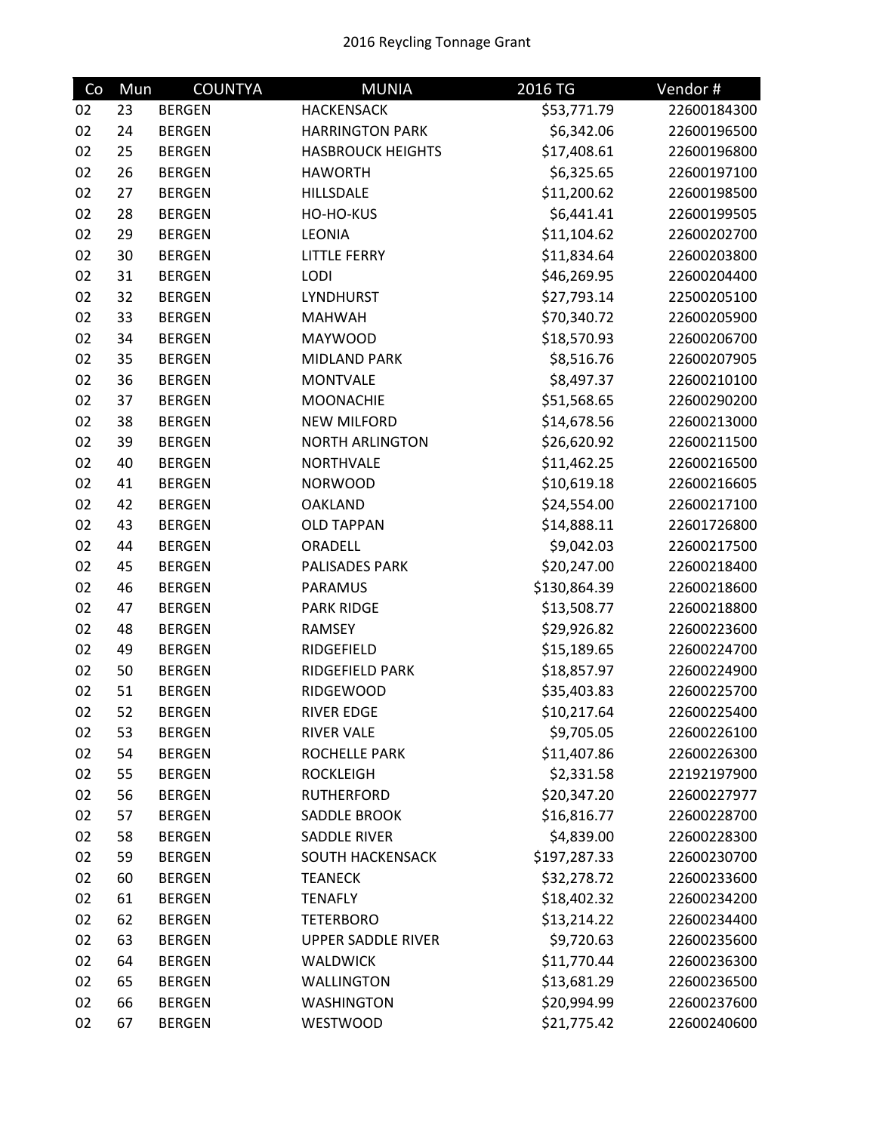| Co | Mun | <b>COUNTYA</b> | <b>MUNIA</b>              | 2016 TG      | Vendor#     |
|----|-----|----------------|---------------------------|--------------|-------------|
| 02 | 23  | <b>BERGEN</b>  | <b>HACKENSACK</b>         | \$53,771.79  | 22600184300 |
| 02 | 24  | <b>BERGEN</b>  | <b>HARRINGTON PARK</b>    | \$6,342.06   | 22600196500 |
| 02 | 25  | <b>BERGEN</b>  | <b>HASBROUCK HEIGHTS</b>  | \$17,408.61  | 22600196800 |
| 02 | 26  | <b>BERGEN</b>  | <b>HAWORTH</b>            | \$6,325.65   | 22600197100 |
| 02 | 27  | <b>BERGEN</b>  | <b>HILLSDALE</b>          | \$11,200.62  | 22600198500 |
| 02 | 28  | <b>BERGEN</b>  | HO-HO-KUS                 | \$6,441.41   | 22600199505 |
| 02 | 29  | <b>BERGEN</b>  | <b>LEONIA</b>             | \$11,104.62  | 22600202700 |
| 02 | 30  | <b>BERGEN</b>  | <b>LITTLE FERRY</b>       | \$11,834.64  | 22600203800 |
| 02 | 31  | <b>BERGEN</b>  | LODI                      | \$46,269.95  | 22600204400 |
| 02 | 32  | <b>BERGEN</b>  | LYNDHURST                 | \$27,793.14  | 22500205100 |
| 02 | 33  | <b>BERGEN</b>  | <b>MAHWAH</b>             | \$70,340.72  | 22600205900 |
| 02 | 34  | <b>BERGEN</b>  | <b>MAYWOOD</b>            | \$18,570.93  | 22600206700 |
| 02 | 35  | <b>BERGEN</b>  | MIDLAND PARK              | \$8,516.76   | 22600207905 |
| 02 | 36  | <b>BERGEN</b>  | <b>MONTVALE</b>           | \$8,497.37   | 22600210100 |
| 02 | 37  | <b>BERGEN</b>  | <b>MOONACHIE</b>          | \$51,568.65  | 22600290200 |
| 02 | 38  | <b>BERGEN</b>  | <b>NEW MILFORD</b>        | \$14,678.56  | 22600213000 |
| 02 | 39  | <b>BERGEN</b>  | <b>NORTH ARLINGTON</b>    | \$26,620.92  | 22600211500 |
| 02 | 40  | <b>BERGEN</b>  | <b>NORTHVALE</b>          | \$11,462.25  | 22600216500 |
| 02 | 41  | <b>BERGEN</b>  | <b>NORWOOD</b>            | \$10,619.18  | 22600216605 |
| 02 | 42  | <b>BERGEN</b>  | <b>OAKLAND</b>            | \$24,554.00  | 22600217100 |
| 02 | 43  | <b>BERGEN</b>  | <b>OLD TAPPAN</b>         | \$14,888.11  | 22601726800 |
| 02 | 44  | <b>BERGEN</b>  | ORADELL                   | \$9,042.03   | 22600217500 |
| 02 | 45  | <b>BERGEN</b>  | PALISADES PARK            | \$20,247.00  | 22600218400 |
| 02 | 46  | <b>BERGEN</b>  | PARAMUS                   | \$130,864.39 | 22600218600 |
| 02 | 47  | <b>BERGEN</b>  | <b>PARK RIDGE</b>         | \$13,508.77  | 22600218800 |
| 02 | 48  | <b>BERGEN</b>  | <b>RAMSEY</b>             | \$29,926.82  | 22600223600 |
| 02 | 49  | <b>BERGEN</b>  | RIDGEFIELD                | \$15,189.65  | 22600224700 |
| 02 | 50  | <b>BERGEN</b>  | RIDGEFIELD PARK           | \$18,857.97  | 22600224900 |
| 02 | 51  | <b>BERGEN</b>  | <b>RIDGEWOOD</b>          | \$35,403.83  | 22600225700 |
| 02 | 52  | <b>BERGEN</b>  | <b>RIVER EDGE</b>         | \$10,217.64  | 22600225400 |
| 02 | 53  | <b>BERGEN</b>  | <b>RIVER VALE</b>         | \$9,705.05   | 22600226100 |
| 02 | 54  | <b>BERGEN</b>  | ROCHELLE PARK             | \$11,407.86  | 22600226300 |
| 02 | 55  | <b>BERGEN</b>  | <b>ROCKLEIGH</b>          | \$2,331.58   | 22192197900 |
| 02 | 56  | <b>BERGEN</b>  | <b>RUTHERFORD</b>         | \$20,347.20  | 22600227977 |
| 02 | 57  | <b>BERGEN</b>  | SADDLE BROOK              | \$16,816.77  | 22600228700 |
| 02 | 58  | <b>BERGEN</b>  | SADDLE RIVER              | \$4,839.00   | 22600228300 |
| 02 | 59  | <b>BERGEN</b>  | SOUTH HACKENSACK          | \$197,287.33 | 22600230700 |
| 02 | 60  | <b>BERGEN</b>  | <b>TEANECK</b>            | \$32,278.72  | 22600233600 |
| 02 | 61  | <b>BERGEN</b>  | <b>TENAFLY</b>            | \$18,402.32  | 22600234200 |
| 02 | 62  | <b>BERGEN</b>  | <b>TETERBORO</b>          | \$13,214.22  | 22600234400 |
| 02 | 63  | <b>BERGEN</b>  | <b>UPPER SADDLE RIVER</b> | \$9,720.63   | 22600235600 |
| 02 | 64  | <b>BERGEN</b>  | <b>WALDWICK</b>           | \$11,770.44  | 22600236300 |
| 02 | 65  | <b>BERGEN</b>  | <b>WALLINGTON</b>         | \$13,681.29  | 22600236500 |
| 02 | 66  | <b>BERGEN</b>  | <b>WASHINGTON</b>         | \$20,994.99  | 22600237600 |
| 02 | 67  | <b>BERGEN</b>  | WESTWOOD                  | \$21,775.42  | 22600240600 |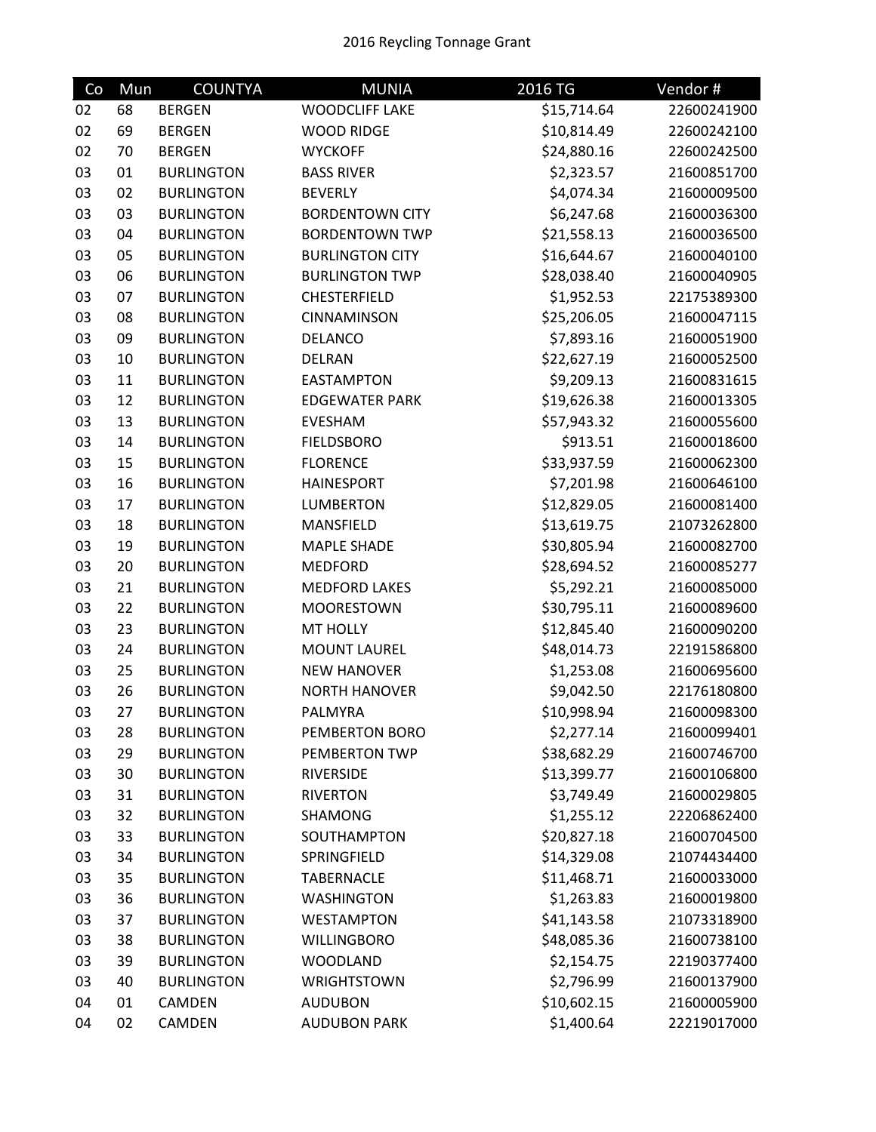| Co | Mun | <b>COUNTYA</b>    | <b>MUNIA</b>           | 2016 TG     | Vendor#     |
|----|-----|-------------------|------------------------|-------------|-------------|
| 02 | 68  | <b>BERGEN</b>     | <b>WOODCLIFF LAKE</b>  | \$15,714.64 | 22600241900 |
| 02 | 69  | <b>BERGEN</b>     | <b>WOOD RIDGE</b>      | \$10,814.49 | 22600242100 |
| 02 | 70  | <b>BERGEN</b>     | <b>WYCKOFF</b>         | \$24,880.16 | 22600242500 |
| 03 | 01  | <b>BURLINGTON</b> | <b>BASS RIVER</b>      | \$2,323.57  | 21600851700 |
| 03 | 02  | <b>BURLINGTON</b> | <b>BEVERLY</b>         | \$4,074.34  | 21600009500 |
| 03 | 03  | <b>BURLINGTON</b> | <b>BORDENTOWN CITY</b> | \$6,247.68  | 21600036300 |
| 03 | 04  | <b>BURLINGTON</b> | <b>BORDENTOWN TWP</b>  | \$21,558.13 | 21600036500 |
| 03 | 05  | <b>BURLINGTON</b> | <b>BURLINGTON CITY</b> | \$16,644.67 | 21600040100 |
| 03 | 06  | <b>BURLINGTON</b> | <b>BURLINGTON TWP</b>  | \$28,038.40 | 21600040905 |
| 03 | 07  | <b>BURLINGTON</b> | CHESTERFIELD           | \$1,952.53  | 22175389300 |
| 03 | 08  | <b>BURLINGTON</b> | CINNAMINSON            | \$25,206.05 | 21600047115 |
| 03 | 09  | <b>BURLINGTON</b> | <b>DELANCO</b>         | \$7,893.16  | 21600051900 |
| 03 | 10  | <b>BURLINGTON</b> | <b>DELRAN</b>          | \$22,627.19 | 21600052500 |
| 03 | 11  | <b>BURLINGTON</b> | <b>EASTAMPTON</b>      | \$9,209.13  | 21600831615 |
| 03 | 12  | <b>BURLINGTON</b> | <b>EDGEWATER PARK</b>  | \$19,626.38 | 21600013305 |
| 03 | 13  | <b>BURLINGTON</b> | <b>EVESHAM</b>         | \$57,943.32 | 21600055600 |
| 03 | 14  | <b>BURLINGTON</b> | <b>FIELDSBORO</b>      | \$913.51    | 21600018600 |
| 03 | 15  | <b>BURLINGTON</b> | <b>FLORENCE</b>        | \$33,937.59 | 21600062300 |
| 03 | 16  | <b>BURLINGTON</b> | <b>HAINESPORT</b>      | \$7,201.98  | 21600646100 |
| 03 | 17  | <b>BURLINGTON</b> | <b>LUMBERTON</b>       | \$12,829.05 | 21600081400 |
| 03 | 18  | <b>BURLINGTON</b> | MANSFIELD              | \$13,619.75 | 21073262800 |
| 03 | 19  | <b>BURLINGTON</b> | <b>MAPLE SHADE</b>     | \$30,805.94 | 21600082700 |
| 03 | 20  | <b>BURLINGTON</b> | <b>MEDFORD</b>         | \$28,694.52 | 21600085277 |
| 03 | 21  | <b>BURLINGTON</b> | <b>MEDFORD LAKES</b>   | \$5,292.21  | 21600085000 |
| 03 | 22  | <b>BURLINGTON</b> | <b>MOORESTOWN</b>      | \$30,795.11 | 21600089600 |
| 03 | 23  | <b>BURLINGTON</b> | <b>MT HOLLY</b>        | \$12,845.40 | 21600090200 |
| 03 | 24  | <b>BURLINGTON</b> | <b>MOUNT LAUREL</b>    | \$48,014.73 | 22191586800 |
| 03 | 25  | <b>BURLINGTON</b> | <b>NEW HANOVER</b>     | \$1,253.08  | 21600695600 |
| 03 | 26  | <b>BURLINGTON</b> | <b>NORTH HANOVER</b>   | \$9,042.50  | 22176180800 |
| 03 | 27  | <b>BURLINGTON</b> | PALMYRA                | \$10,998.94 | 21600098300 |
| 03 | 28  | <b>BURLINGTON</b> | PEMBERTON BORO         | \$2,277.14  | 21600099401 |
| 03 | 29  | <b>BURLINGTON</b> | PEMBERTON TWP          | \$38,682.29 | 21600746700 |
| 03 | 30  | <b>BURLINGTON</b> | <b>RIVERSIDE</b>       | \$13,399.77 | 21600106800 |
| 03 | 31  | <b>BURLINGTON</b> | <b>RIVERTON</b>        | \$3,749.49  | 21600029805 |
| 03 | 32  | <b>BURLINGTON</b> | SHAMONG                | \$1,255.12  | 22206862400 |
| 03 | 33  | <b>BURLINGTON</b> | SOUTHAMPTON            | \$20,827.18 | 21600704500 |
| 03 | 34  | <b>BURLINGTON</b> | SPRINGFIELD            | \$14,329.08 | 21074434400 |
| 03 | 35  | <b>BURLINGTON</b> | <b>TABERNACLE</b>      | \$11,468.71 | 21600033000 |
| 03 | 36  | <b>BURLINGTON</b> | <b>WASHINGTON</b>      | \$1,263.83  | 21600019800 |
| 03 | 37  | <b>BURLINGTON</b> | <b>WESTAMPTON</b>      | \$41,143.58 | 21073318900 |
| 03 | 38  | <b>BURLINGTON</b> | <b>WILLINGBORO</b>     | \$48,085.36 | 21600738100 |
| 03 | 39  | <b>BURLINGTON</b> | <b>WOODLAND</b>        | \$2,154.75  | 22190377400 |
| 03 | 40  | <b>BURLINGTON</b> | <b>WRIGHTSTOWN</b>     | \$2,796.99  | 21600137900 |
| 04 | 01  | CAMDEN            | <b>AUDUBON</b>         | \$10,602.15 | 21600005900 |
| 04 | 02  | CAMDEN            | <b>AUDUBON PARK</b>    | \$1,400.64  | 22219017000 |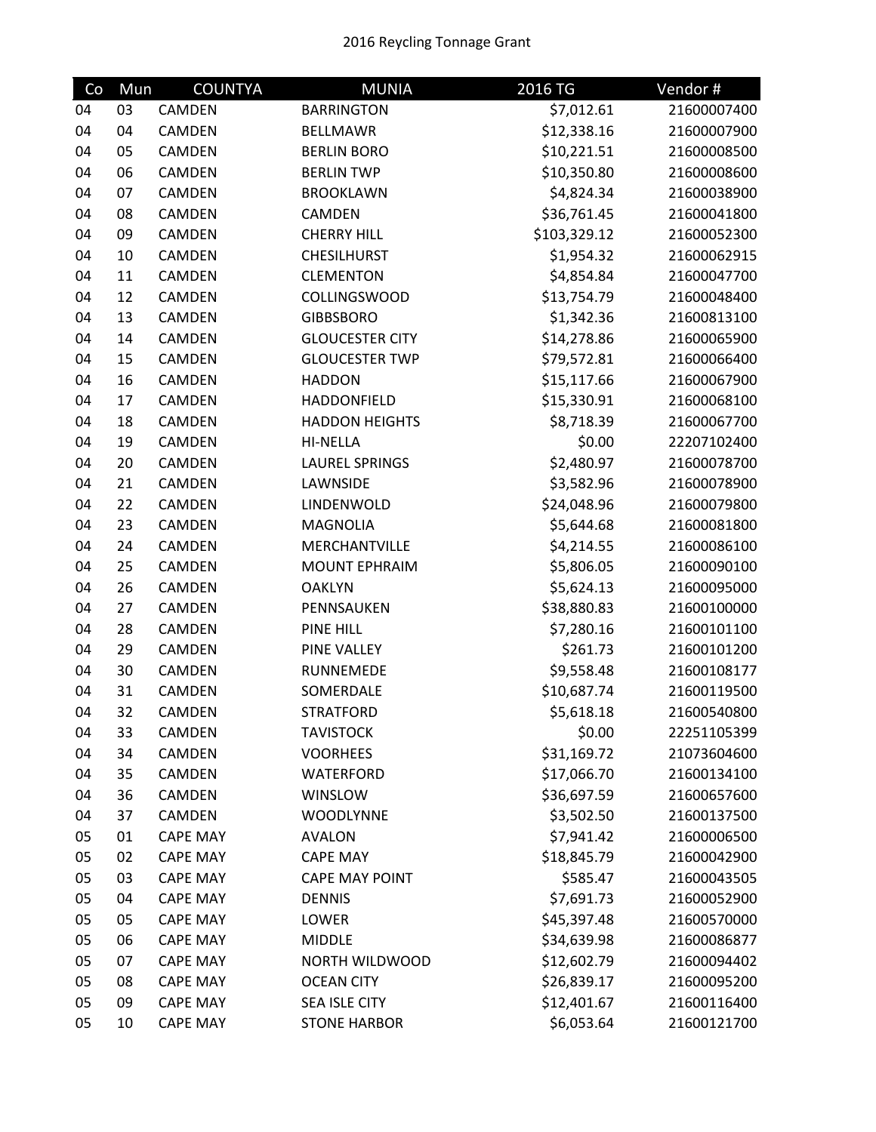| Co | Mun | <b>COUNTYA</b>  | <b>MUNIA</b>           | 2016 TG      | Vendor#     |
|----|-----|-----------------|------------------------|--------------|-------------|
| 04 | 03  | CAMDEN          | <b>BARRINGTON</b>      | \$7,012.61   | 21600007400 |
| 04 | 04  | CAMDEN          | <b>BELLMAWR</b>        | \$12,338.16  | 21600007900 |
| 04 | 05  | CAMDEN          | <b>BERLIN BORO</b>     | \$10,221.51  | 21600008500 |
| 04 | 06  | CAMDEN          | <b>BERLIN TWP</b>      | \$10,350.80  | 21600008600 |
| 04 | 07  | CAMDEN          | <b>BROOKLAWN</b>       | \$4,824.34   | 21600038900 |
| 04 | 08  | CAMDEN          | CAMDEN                 | \$36,761.45  | 21600041800 |
| 04 | 09  | CAMDEN          | <b>CHERRY HILL</b>     | \$103,329.12 | 21600052300 |
| 04 | 10  | CAMDEN          | <b>CHESILHURST</b>     | \$1,954.32   | 21600062915 |
| 04 | 11  | CAMDEN          | <b>CLEMENTON</b>       | \$4,854.84   | 21600047700 |
| 04 | 12  | CAMDEN          | <b>COLLINGSWOOD</b>    | \$13,754.79  | 21600048400 |
| 04 | 13  | CAMDEN          | <b>GIBBSBORO</b>       | \$1,342.36   | 21600813100 |
| 04 | 14  | CAMDEN          | <b>GLOUCESTER CITY</b> | \$14,278.86  | 21600065900 |
| 04 | 15  | CAMDEN          | <b>GLOUCESTER TWP</b>  | \$79,572.81  | 21600066400 |
| 04 | 16  | CAMDEN          | <b>HADDON</b>          | \$15,117.66  | 21600067900 |
| 04 | 17  | CAMDEN          | HADDONFIELD            | \$15,330.91  | 21600068100 |
| 04 | 18  | CAMDEN          | <b>HADDON HEIGHTS</b>  | \$8,718.39   | 21600067700 |
| 04 | 19  | <b>CAMDEN</b>   | <b>HI-NELLA</b>        | \$0.00       | 22207102400 |
| 04 | 20  | CAMDEN          | <b>LAUREL SPRINGS</b>  | \$2,480.97   | 21600078700 |
| 04 | 21  | CAMDEN          | LAWNSIDE               | \$3,582.96   | 21600078900 |
| 04 | 22  | CAMDEN          | LINDENWOLD             | \$24,048.96  | 21600079800 |
| 04 | 23  | CAMDEN          | <b>MAGNOLIA</b>        | \$5,644.68   | 21600081800 |
| 04 | 24  | CAMDEN          | MERCHANTVILLE          | \$4,214.55   | 21600086100 |
| 04 | 25  | CAMDEN          | <b>MOUNT EPHRAIM</b>   | \$5,806.05   | 21600090100 |
| 04 | 26  | CAMDEN          | <b>OAKLYN</b>          | \$5,624.13   | 21600095000 |
| 04 | 27  | CAMDEN          | PENNSAUKEN             | \$38,880.83  | 21600100000 |
| 04 | 28  | CAMDEN          | PINE HILL              | \$7,280.16   | 21600101100 |
| 04 | 29  | CAMDEN          | <b>PINE VALLEY</b>     | \$261.73     | 21600101200 |
| 04 | 30  | CAMDEN          | RUNNEMEDE              | \$9,558.48   | 21600108177 |
| 04 | 31  | CAMDEN          | SOMERDALE              | \$10,687.74  | 21600119500 |
| 04 | 32  | CAMDEN          | <b>STRATFORD</b>       | \$5,618.18   | 21600540800 |
| 04 | 33  | CAMDEN          | <b>TAVISTOCK</b>       | \$0.00       | 22251105399 |
| 04 | 34  | CAMDEN          | <b>VOORHEES</b>        | \$31,169.72  | 21073604600 |
| 04 | 35  | CAMDEN          | <b>WATERFORD</b>       | \$17,066.70  | 21600134100 |
| 04 | 36  | CAMDEN          | WINSLOW                | \$36,697.59  | 21600657600 |
| 04 | 37  | CAMDEN          | <b>WOODLYNNE</b>       | \$3,502.50   | 21600137500 |
| 05 | 01  | <b>CAPE MAY</b> | <b>AVALON</b>          | \$7,941.42   | 21600006500 |
| 05 | 02  | <b>CAPE MAY</b> | <b>CAPE MAY</b>        | \$18,845.79  | 21600042900 |
| 05 | 03  | <b>CAPE MAY</b> | <b>CAPE MAY POINT</b>  | \$585.47     | 21600043505 |
| 05 | 04  | <b>CAPE MAY</b> | <b>DENNIS</b>          | \$7,691.73   | 21600052900 |
| 05 | 05  | <b>CAPE MAY</b> | <b>LOWER</b>           | \$45,397.48  | 21600570000 |
| 05 | 06  | <b>CAPE MAY</b> | <b>MIDDLE</b>          | \$34,639.98  | 21600086877 |
| 05 | 07  | <b>CAPE MAY</b> | NORTH WILDWOOD         | \$12,602.79  | 21600094402 |
| 05 | 08  | <b>CAPE MAY</b> | <b>OCEAN CITY</b>      | \$26,839.17  | 21600095200 |
| 05 | 09  | <b>CAPE MAY</b> | SEA ISLE CITY          | \$12,401.67  | 21600116400 |
| 05 | 10  | CAPE MAY        | <b>STONE HARBOR</b>    | \$6,053.64   | 21600121700 |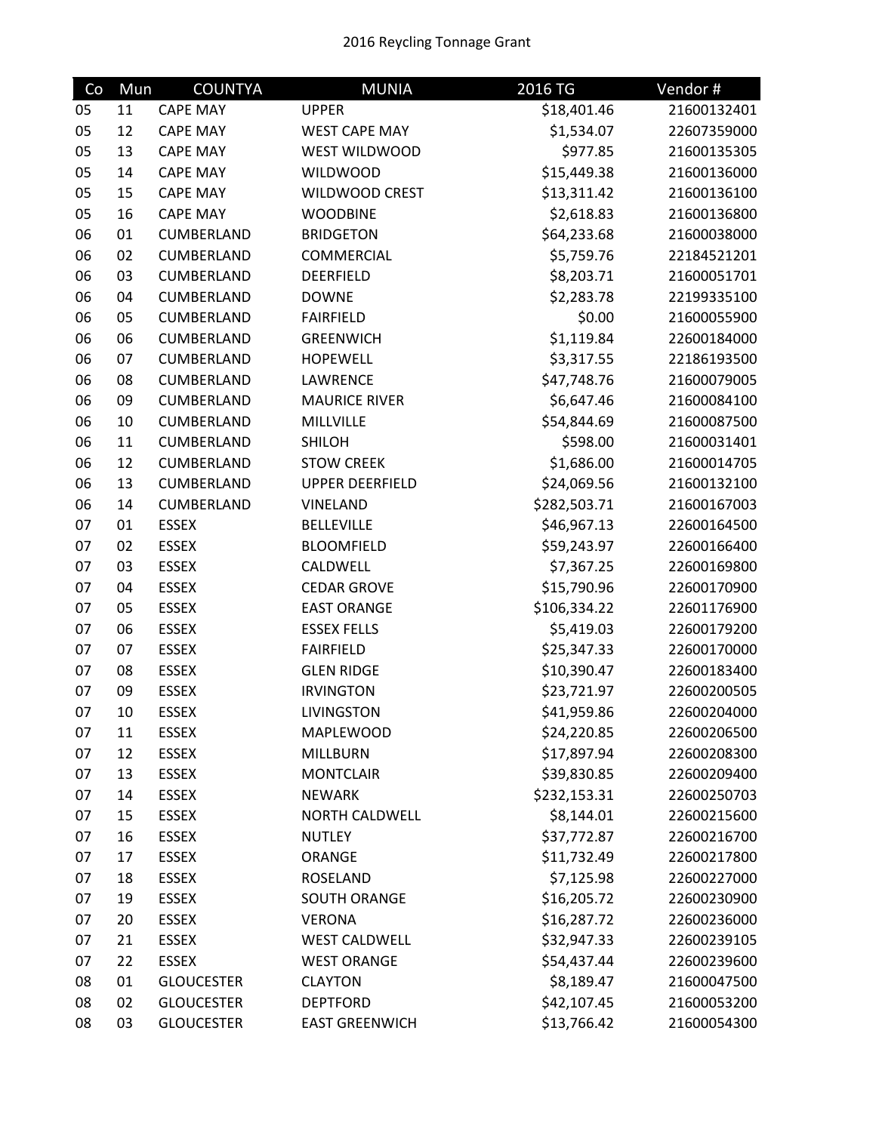| Co | Mun | <b>COUNTYA</b>    | <b>MUNIA</b>           | 2016 TG      | Vendor#     |
|----|-----|-------------------|------------------------|--------------|-------------|
| 05 | 11  | <b>CAPE MAY</b>   | <b>UPPER</b>           | \$18,401.46  | 21600132401 |
| 05 | 12  | <b>CAPE MAY</b>   | <b>WEST CAPE MAY</b>   | \$1,534.07   | 22607359000 |
| 05 | 13  | <b>CAPE MAY</b>   | <b>WEST WILDWOOD</b>   | \$977.85     | 21600135305 |
| 05 | 14  | <b>CAPE MAY</b>   | <b>WILDWOOD</b>        | \$15,449.38  | 21600136000 |
| 05 | 15  | <b>CAPE MAY</b>   | <b>WILDWOOD CREST</b>  | \$13,311.42  | 21600136100 |
| 05 | 16  | <b>CAPE MAY</b>   | <b>WOODBINE</b>        | \$2,618.83   | 21600136800 |
| 06 | 01  | CUMBERLAND        | <b>BRIDGETON</b>       | \$64,233.68  | 21600038000 |
| 06 | 02  | CUMBERLAND        | COMMERCIAL             | \$5,759.76   | 22184521201 |
| 06 | 03  | CUMBERLAND        | <b>DEERFIELD</b>       | \$8,203.71   | 21600051701 |
| 06 | 04  | CUMBERLAND        | <b>DOWNE</b>           | \$2,283.78   | 22199335100 |
| 06 | 05  | CUMBERLAND        | <b>FAIRFIELD</b>       | \$0.00       | 21600055900 |
| 06 | 06  | CUMBERLAND        | <b>GREENWICH</b>       | \$1,119.84   | 22600184000 |
| 06 | 07  | CUMBERLAND        | <b>HOPEWELL</b>        | \$3,317.55   | 22186193500 |
| 06 | 08  | CUMBERLAND        | LAWRENCE               | \$47,748.76  | 21600079005 |
| 06 | 09  | CUMBERLAND        | <b>MAURICE RIVER</b>   | \$6,647.46   | 21600084100 |
| 06 | 10  | CUMBERLAND        | MILLVILLE              | \$54,844.69  | 21600087500 |
| 06 | 11  | CUMBERLAND        | <b>SHILOH</b>          | \$598.00     | 21600031401 |
| 06 | 12  | CUMBERLAND        | <b>STOW CREEK</b>      | \$1,686.00   | 21600014705 |
| 06 | 13  | CUMBERLAND        | <b>UPPER DEERFIELD</b> | \$24,069.56  | 21600132100 |
| 06 | 14  | CUMBERLAND        | <b>VINELAND</b>        | \$282,503.71 | 21600167003 |
| 07 | 01  | <b>ESSEX</b>      | <b>BELLEVILLE</b>      | \$46,967.13  | 22600164500 |
| 07 | 02  | <b>ESSEX</b>      | <b>BLOOMFIELD</b>      | \$59,243.97  | 22600166400 |
| 07 | 03  | <b>ESSEX</b>      | CALDWELL               | \$7,367.25   | 22600169800 |
| 07 | 04  | <b>ESSEX</b>      | <b>CEDAR GROVE</b>     | \$15,790.96  | 22600170900 |
| 07 | 05  | <b>ESSEX</b>      | <b>EAST ORANGE</b>     | \$106,334.22 | 22601176900 |
| 07 | 06  | <b>ESSEX</b>      | <b>ESSEX FELLS</b>     | \$5,419.03   | 22600179200 |
| 07 | 07  | <b>ESSEX</b>      | <b>FAIRFIELD</b>       | \$25,347.33  | 22600170000 |
| 07 | 08  | <b>ESSEX</b>      | <b>GLEN RIDGE</b>      | \$10,390.47  | 22600183400 |
| 07 | 09  | <b>ESSEX</b>      | <b>IRVINGTON</b>       | \$23,721.97  | 22600200505 |
| 07 | 10  | <b>ESSEX</b>      | <b>LIVINGSTON</b>      | \$41,959.86  | 22600204000 |
| 07 | 11  | <b>ESSEX</b>      | MAPLEWOOD              | \$24,220.85  | 22600206500 |
| 07 | 12  | <b>ESSEX</b>      | MILLBURN               | \$17,897.94  | 22600208300 |
| 07 | 13  | <b>ESSEX</b>      | <b>MONTCLAIR</b>       | \$39,830.85  | 22600209400 |
| 07 | 14  | <b>ESSEX</b>      | <b>NEWARK</b>          | \$232,153.31 | 22600250703 |
| 07 | 15  | <b>ESSEX</b>      | NORTH CALDWELL         | \$8,144.01   | 22600215600 |
| 07 | 16  | <b>ESSEX</b>      | <b>NUTLEY</b>          | \$37,772.87  | 22600216700 |
| 07 | 17  | <b>ESSEX</b>      | ORANGE                 | \$11,732.49  | 22600217800 |
| 07 | 18  | <b>ESSEX</b>      | ROSELAND               | \$7,125.98   | 22600227000 |
| 07 | 19  | <b>ESSEX</b>      | SOUTH ORANGE           | \$16,205.72  | 22600230900 |
| 07 | 20  | <b>ESSEX</b>      | <b>VERONA</b>          | \$16,287.72  | 22600236000 |
| 07 | 21  | <b>ESSEX</b>      | <b>WEST CALDWELL</b>   | \$32,947.33  | 22600239105 |
| 07 | 22  | <b>ESSEX</b>      | <b>WEST ORANGE</b>     | \$54,437.44  | 22600239600 |
| 08 | 01  | <b>GLOUCESTER</b> | <b>CLAYTON</b>         | \$8,189.47   | 21600047500 |
| 08 | 02  | <b>GLOUCESTER</b> | <b>DEPTFORD</b>        | \$42,107.45  | 21600053200 |
| 08 | 03  | <b>GLOUCESTER</b> | <b>EAST GREENWICH</b>  | \$13,766.42  | 21600054300 |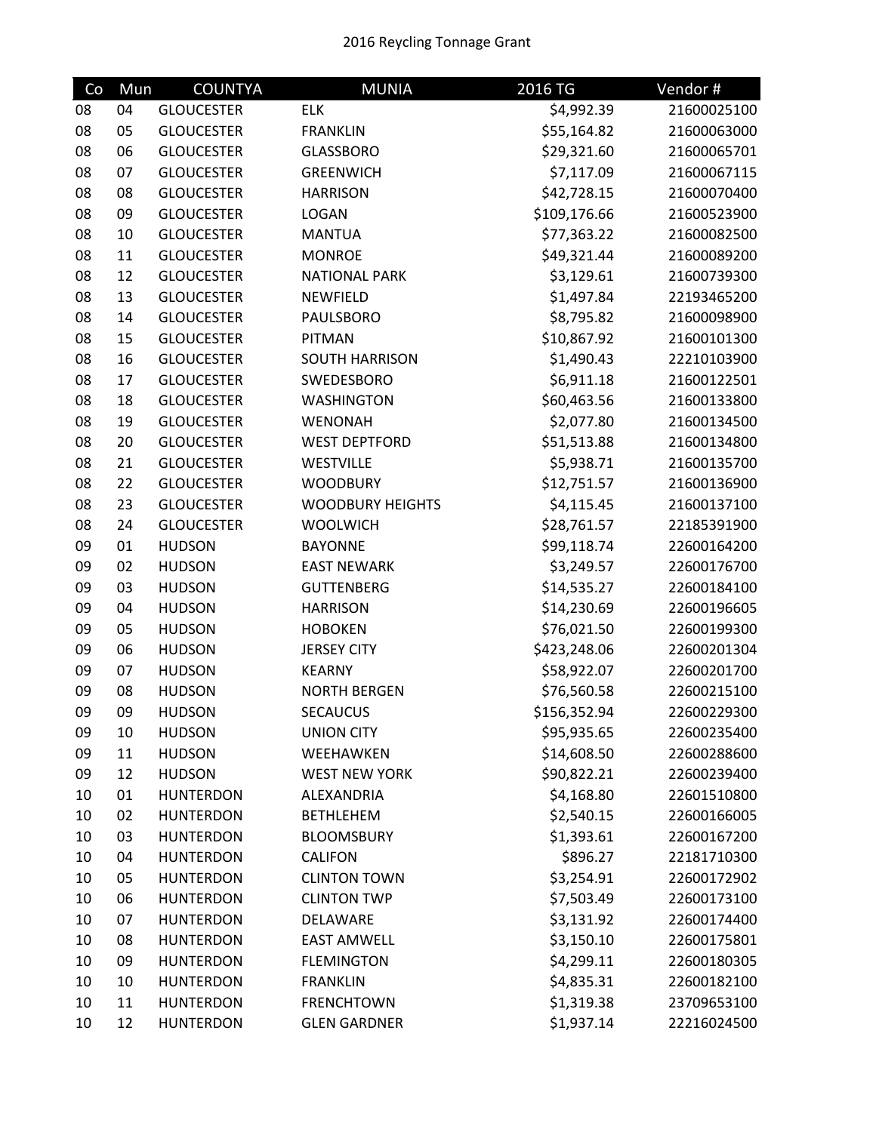| Co | Mun | <b>COUNTYA</b>    | <b>MUNIA</b>            | 2016 TG      | Vendor#     |
|----|-----|-------------------|-------------------------|--------------|-------------|
| 08 | 04  | <b>GLOUCESTER</b> | <b>ELK</b>              | \$4,992.39   | 21600025100 |
| 08 | 05  | <b>GLOUCESTER</b> | <b>FRANKLIN</b>         | \$55,164.82  | 21600063000 |
| 08 | 06  | <b>GLOUCESTER</b> | <b>GLASSBORO</b>        | \$29,321.60  | 21600065701 |
| 08 | 07  | <b>GLOUCESTER</b> | <b>GREENWICH</b>        | \$7,117.09   | 21600067115 |
| 08 | 08  | <b>GLOUCESTER</b> | <b>HARRISON</b>         | \$42,728.15  | 21600070400 |
| 08 | 09  | <b>GLOUCESTER</b> | LOGAN                   | \$109,176.66 | 21600523900 |
| 08 | 10  | <b>GLOUCESTER</b> | <b>MANTUA</b>           | \$77,363.22  | 21600082500 |
| 08 | 11  | <b>GLOUCESTER</b> | <b>MONROE</b>           | \$49,321.44  | 21600089200 |
| 08 | 12  | <b>GLOUCESTER</b> | <b>NATIONAL PARK</b>    | \$3,129.61   | 21600739300 |
| 08 | 13  | <b>GLOUCESTER</b> | NEWFIELD                | \$1,497.84   | 22193465200 |
| 08 | 14  | <b>GLOUCESTER</b> | <b>PAULSBORO</b>        | \$8,795.82   | 21600098900 |
| 08 | 15  | <b>GLOUCESTER</b> | PITMAN                  | \$10,867.92  | 21600101300 |
| 08 | 16  | <b>GLOUCESTER</b> | <b>SOUTH HARRISON</b>   | \$1,490.43   | 22210103900 |
| 08 | 17  | <b>GLOUCESTER</b> | SWEDESBORO              | \$6,911.18   | 21600122501 |
| 08 | 18  | <b>GLOUCESTER</b> | <b>WASHINGTON</b>       | \$60,463.56  | 21600133800 |
| 08 | 19  | <b>GLOUCESTER</b> | WENONAH                 | \$2,077.80   | 21600134500 |
| 08 | 20  | <b>GLOUCESTER</b> | <b>WEST DEPTFORD</b>    | \$51,513.88  | 21600134800 |
| 08 | 21  | <b>GLOUCESTER</b> | WESTVILLE               | \$5,938.71   | 21600135700 |
| 08 | 22  | <b>GLOUCESTER</b> | <b>WOODBURY</b>         | \$12,751.57  | 21600136900 |
| 08 | 23  | <b>GLOUCESTER</b> | <b>WOODBURY HEIGHTS</b> | \$4,115.45   | 21600137100 |
| 08 | 24  | <b>GLOUCESTER</b> | <b>WOOLWICH</b>         | \$28,761.57  | 22185391900 |
| 09 | 01  | <b>HUDSON</b>     | <b>BAYONNE</b>          | \$99,118.74  | 22600164200 |
| 09 | 02  | <b>HUDSON</b>     | <b>EAST NEWARK</b>      | \$3,249.57   | 22600176700 |
| 09 | 03  | <b>HUDSON</b>     | <b>GUTTENBERG</b>       | \$14,535.27  | 22600184100 |
| 09 | 04  | <b>HUDSON</b>     | <b>HARRISON</b>         | \$14,230.69  | 22600196605 |
| 09 | 05  | <b>HUDSON</b>     | <b>HOBOKEN</b>          | \$76,021.50  | 22600199300 |
| 09 | 06  | <b>HUDSON</b>     | <b>JERSEY CITY</b>      | \$423,248.06 | 22600201304 |
| 09 | 07  | <b>HUDSON</b>     | <b>KEARNY</b>           | \$58,922.07  | 22600201700 |
| 09 | 08  | <b>HUDSON</b>     | <b>NORTH BERGEN</b>     | \$76,560.58  | 22600215100 |
| 09 | 09  | <b>HUDSON</b>     | <b>SECAUCUS</b>         | \$156,352.94 | 22600229300 |
| 09 | 10  | <b>HUDSON</b>     | <b>UNION CITY</b>       | \$95,935.65  | 22600235400 |
| 09 | 11  | <b>HUDSON</b>     | WEEHAWKEN               | \$14,608.50  | 22600288600 |
| 09 | 12  | <b>HUDSON</b>     | <b>WEST NEW YORK</b>    | \$90,822.21  | 22600239400 |
| 10 | 01  | <b>HUNTERDON</b>  | ALEXANDRIA              | \$4,168.80   | 22601510800 |
| 10 | 02  | <b>HUNTERDON</b>  | <b>BETHLEHEM</b>        | \$2,540.15   | 22600166005 |
| 10 | 03  | <b>HUNTERDON</b>  | <b>BLOOMSBURY</b>       | \$1,393.61   | 22600167200 |
| 10 | 04  | <b>HUNTERDON</b>  | <b>CALIFON</b>          | \$896.27     | 22181710300 |
| 10 | 05  | <b>HUNTERDON</b>  | <b>CLINTON TOWN</b>     | \$3,254.91   | 22600172902 |
| 10 | 06  | <b>HUNTERDON</b>  | <b>CLINTON TWP</b>      | \$7,503.49   | 22600173100 |
| 10 | 07  | <b>HUNTERDON</b>  | DELAWARE                | \$3,131.92   | 22600174400 |
| 10 | 08  | <b>HUNTERDON</b>  | <b>EAST AMWELL</b>      | \$3,150.10   | 22600175801 |
| 10 | 09  | <b>HUNTERDON</b>  | <b>FLEMINGTON</b>       | \$4,299.11   | 22600180305 |
| 10 | 10  | <b>HUNTERDON</b>  | <b>FRANKLIN</b>         | \$4,835.31   | 22600182100 |
| 10 | 11  | <b>HUNTERDON</b>  | <b>FRENCHTOWN</b>       | \$1,319.38   | 23709653100 |
| 10 | 12  | <b>HUNTERDON</b>  | <b>GLEN GARDNER</b>     | \$1,937.14   | 22216024500 |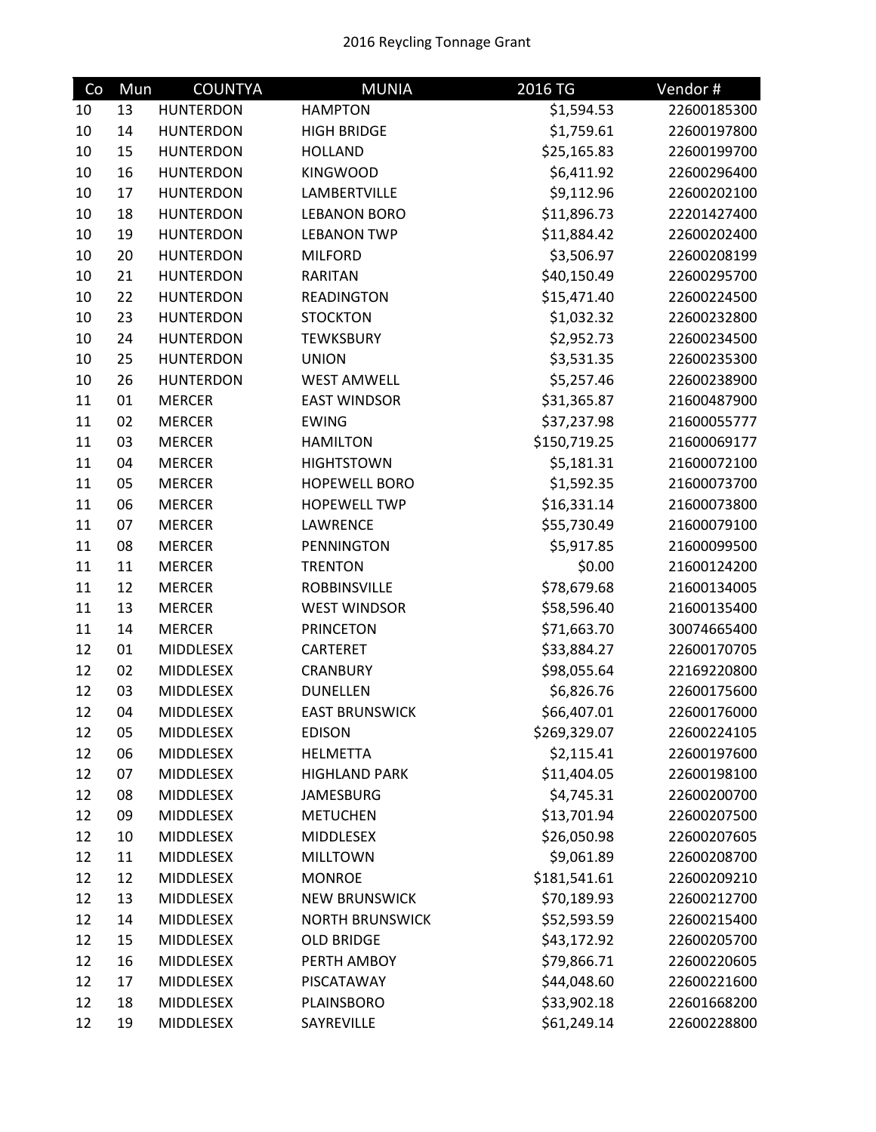| Co | Mun | <b>COUNTYA</b>   | <b>MUNIA</b>           | 2016 TG      | Vendor#     |
|----|-----|------------------|------------------------|--------------|-------------|
| 10 | 13  | <b>HUNTERDON</b> | <b>HAMPTON</b>         | \$1,594.53   | 22600185300 |
| 10 | 14  | <b>HUNTERDON</b> | <b>HIGH BRIDGE</b>     | \$1,759.61   | 22600197800 |
| 10 | 15  | <b>HUNTERDON</b> | <b>HOLLAND</b>         | \$25,165.83  | 22600199700 |
| 10 | 16  | <b>HUNTERDON</b> | <b>KINGWOOD</b>        | \$6,411.92   | 22600296400 |
| 10 | 17  | <b>HUNTERDON</b> | LAMBERTVILLE           | \$9,112.96   | 22600202100 |
| 10 | 18  | <b>HUNTERDON</b> | <b>LEBANON BORO</b>    | \$11,896.73  | 22201427400 |
| 10 | 19  | <b>HUNTERDON</b> | <b>LEBANON TWP</b>     | \$11,884.42  | 22600202400 |
| 10 | 20  | <b>HUNTERDON</b> | <b>MILFORD</b>         | \$3,506.97   | 22600208199 |
| 10 | 21  | <b>HUNTERDON</b> | <b>RARITAN</b>         | \$40,150.49  | 22600295700 |
| 10 | 22  | <b>HUNTERDON</b> | <b>READINGTON</b>      | \$15,471.40  | 22600224500 |
| 10 | 23  | <b>HUNTERDON</b> | <b>STOCKTON</b>        | \$1,032.32   | 22600232800 |
| 10 | 24  | <b>HUNTERDON</b> | <b>TEWKSBURY</b>       | \$2,952.73   | 22600234500 |
| 10 | 25  | <b>HUNTERDON</b> | <b>UNION</b>           | \$3,531.35   | 22600235300 |
| 10 | 26  | <b>HUNTERDON</b> | <b>WEST AMWELL</b>     | \$5,257.46   | 22600238900 |
| 11 | 01  | <b>MERCER</b>    | <b>EAST WINDSOR</b>    | \$31,365.87  | 21600487900 |
| 11 | 02  | <b>MERCER</b>    | <b>EWING</b>           | \$37,237.98  | 21600055777 |
| 11 | 03  | <b>MERCER</b>    | <b>HAMILTON</b>        | \$150,719.25 | 21600069177 |
| 11 | 04  | <b>MERCER</b>    | <b>HIGHTSTOWN</b>      | \$5,181.31   | 21600072100 |
| 11 | 05  | <b>MERCER</b>    | <b>HOPEWELL BORO</b>   | \$1,592.35   | 21600073700 |
| 11 | 06  | <b>MERCER</b>    | <b>HOPEWELL TWP</b>    | \$16,331.14  | 21600073800 |
| 11 | 07  | <b>MERCER</b>    | <b>LAWRENCE</b>        | \$55,730.49  | 21600079100 |
| 11 | 08  | <b>MERCER</b>    | <b>PENNINGTON</b>      | \$5,917.85   | 21600099500 |
| 11 | 11  | <b>MERCER</b>    | <b>TRENTON</b>         | \$0.00       | 21600124200 |
| 11 | 12  | <b>MERCER</b>    | <b>ROBBINSVILLE</b>    | \$78,679.68  | 21600134005 |
| 11 | 13  | <b>MERCER</b>    | <b>WEST WINDSOR</b>    | \$58,596.40  | 21600135400 |
| 11 | 14  | <b>MERCER</b>    | <b>PRINCETON</b>       | \$71,663.70  | 30074665400 |
| 12 | 01  | MIDDLESEX        | CARTERET               | \$33,884.27  | 22600170705 |
| 12 | 02  | MIDDLESEX        | <b>CRANBURY</b>        | \$98,055.64  | 22169220800 |
| 12 | 03  | MIDDLESEX        | <b>DUNELLEN</b>        | \$6,826.76   | 22600175600 |
| 12 | 04  | <b>MIDDLESEX</b> | <b>EAST BRUNSWICK</b>  | \$66,407.01  | 22600176000 |
| 12 | 05  | MIDDLESEX        | <b>EDISON</b>          | \$269,329.07 | 22600224105 |
| 12 | 06  | MIDDLESEX        | <b>HELMETTA</b>        | \$2,115.41   | 22600197600 |
| 12 | 07  | <b>MIDDLESEX</b> | <b>HIGHLAND PARK</b>   | \$11,404.05  | 22600198100 |
| 12 | 08  | MIDDLESEX        | <b>JAMESBURG</b>       | \$4,745.31   | 22600200700 |
| 12 | 09  | MIDDLESEX        | <b>METUCHEN</b>        | \$13,701.94  | 22600207500 |
| 12 | 10  | MIDDLESEX        | <b>MIDDLESEX</b>       | \$26,050.98  | 22600207605 |
| 12 | 11  | <b>MIDDLESEX</b> | <b>MILLTOWN</b>        | \$9,061.89   | 22600208700 |
| 12 | 12  | MIDDLESEX        | <b>MONROE</b>          | \$181,541.61 | 22600209210 |
| 12 | 13  | <b>MIDDLESEX</b> | <b>NEW BRUNSWICK</b>   | \$70,189.93  | 22600212700 |
| 12 | 14  | MIDDLESEX        | <b>NORTH BRUNSWICK</b> | \$52,593.59  | 22600215400 |
| 12 | 15  | <b>MIDDLESEX</b> | <b>OLD BRIDGE</b>      | \$43,172.92  | 22600205700 |
| 12 | 16  | MIDDLESEX        | PERTH AMBOY            | \$79,866.71  | 22600220605 |
| 12 | 17  | MIDDLESEX        | PISCATAWAY             | \$44,048.60  | 22600221600 |
| 12 | 18  | MIDDLESEX        | PLAINSBORO             | \$33,902.18  | 22601668200 |
| 12 | 19  | MIDDLESEX        | SAYREVILLE             | \$61,249.14  | 22600228800 |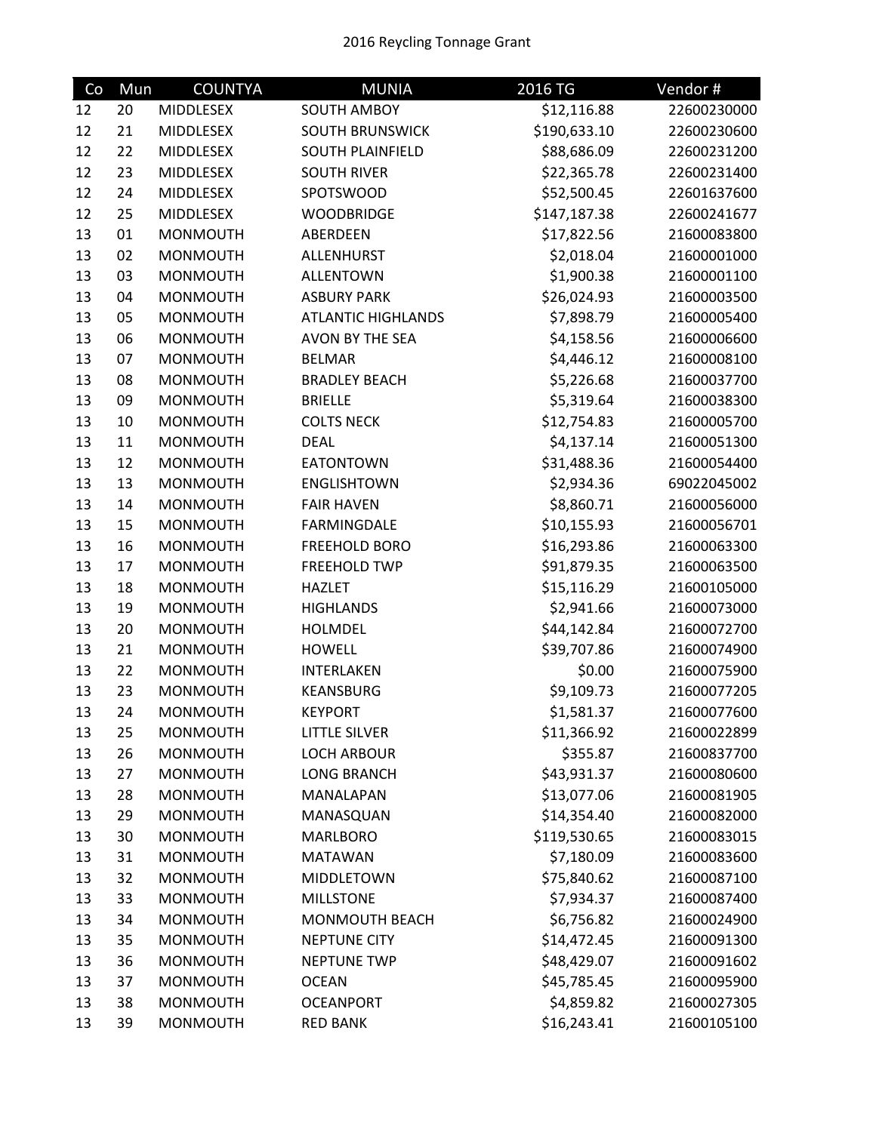| Co | Mun | <b>COUNTYA</b>   | <b>MUNIA</b>              | 2016 TG      | Vendor#     |
|----|-----|------------------|---------------------------|--------------|-------------|
| 12 | 20  | MIDDLESEX        | <b>SOUTH AMBOY</b>        | \$12,116.88  | 22600230000 |
| 12 | 21  | MIDDLESEX        | <b>SOUTH BRUNSWICK</b>    | \$190,633.10 | 22600230600 |
| 12 | 22  | MIDDLESEX        | <b>SOUTH PLAINFIELD</b>   | \$88,686.09  | 22600231200 |
| 12 | 23  | MIDDLESEX        | <b>SOUTH RIVER</b>        | \$22,365.78  | 22600231400 |
| 12 | 24  | MIDDLESEX        | SPOTSWOOD                 | \$52,500.45  | 22601637600 |
| 12 | 25  | <b>MIDDLESEX</b> | <b>WOODBRIDGE</b>         | \$147,187.38 | 22600241677 |
| 13 | 01  | <b>MONMOUTH</b>  | ABERDEEN                  | \$17,822.56  | 21600083800 |
| 13 | 02  | <b>MONMOUTH</b>  | <b>ALLENHURST</b>         | \$2,018.04   | 21600001000 |
| 13 | 03  | <b>MONMOUTH</b>  | <b>ALLENTOWN</b>          | \$1,900.38   | 21600001100 |
| 13 | 04  | <b>MONMOUTH</b>  | <b>ASBURY PARK</b>        | \$26,024.93  | 21600003500 |
| 13 | 05  | <b>MONMOUTH</b>  | <b>ATLANTIC HIGHLANDS</b> | \$7,898.79   | 21600005400 |
| 13 | 06  | <b>MONMOUTH</b>  | AVON BY THE SEA           | \$4,158.56   | 21600006600 |
| 13 | 07  | <b>MONMOUTH</b>  | <b>BELMAR</b>             | \$4,446.12   | 21600008100 |
| 13 | 08  | <b>MONMOUTH</b>  | <b>BRADLEY BEACH</b>      | \$5,226.68   | 21600037700 |
| 13 | 09  | <b>MONMOUTH</b>  | <b>BRIELLE</b>            | \$5,319.64   | 21600038300 |
| 13 | 10  | <b>MONMOUTH</b>  | <b>COLTS NECK</b>         | \$12,754.83  | 21600005700 |
| 13 | 11  | <b>MONMOUTH</b>  | <b>DEAL</b>               | \$4,137.14   | 21600051300 |
| 13 | 12  | <b>MONMOUTH</b>  | <b>EATONTOWN</b>          | \$31,488.36  | 21600054400 |
| 13 | 13  | <b>MONMOUTH</b>  | <b>ENGLISHTOWN</b>        | \$2,934.36   | 69022045002 |
| 13 | 14  | <b>MONMOUTH</b>  | <b>FAIR HAVEN</b>         | \$8,860.71   | 21600056000 |
| 13 | 15  | <b>MONMOUTH</b>  | <b>FARMINGDALE</b>        | \$10,155.93  | 21600056701 |
| 13 | 16  | <b>MONMOUTH</b>  | <b>FREEHOLD BORO</b>      | \$16,293.86  | 21600063300 |
| 13 | 17  | <b>MONMOUTH</b>  | <b>FREEHOLD TWP</b>       | \$91,879.35  | 21600063500 |
| 13 | 18  | <b>MONMOUTH</b>  | <b>HAZLET</b>             | \$15,116.29  | 21600105000 |
| 13 | 19  | <b>MONMOUTH</b>  | <b>HIGHLANDS</b>          | \$2,941.66   | 21600073000 |
| 13 | 20  | <b>MONMOUTH</b>  | <b>HOLMDEL</b>            | \$44,142.84  | 21600072700 |
| 13 | 21  | <b>MONMOUTH</b>  | <b>HOWELL</b>             | \$39,707.86  | 21600074900 |
| 13 | 22  | <b>MONMOUTH</b>  | INTERLAKEN                | \$0.00       | 21600075900 |
| 13 | 23  | <b>MONMOUTH</b>  | KEANSBURG                 | \$9,109.73   | 21600077205 |
| 13 | 24  | <b>MONMOUTH</b>  | <b>KEYPORT</b>            | \$1,581.37   | 21600077600 |
| 13 | 25  | <b>MONMOUTH</b>  | LITTLE SILVER             | \$11,366.92  | 21600022899 |
| 13 | 26  | <b>MONMOUTH</b>  | <b>LOCH ARBOUR</b>        | \$355.87     | 21600837700 |
| 13 | 27  | <b>MONMOUTH</b>  | <b>LONG BRANCH</b>        | \$43,931.37  | 21600080600 |
| 13 | 28  | <b>MONMOUTH</b>  | MANALAPAN                 | \$13,077.06  | 21600081905 |
| 13 | 29  | <b>MONMOUTH</b>  | MANASQUAN                 | \$14,354.40  | 21600082000 |
| 13 | 30  | <b>MONMOUTH</b>  | <b>MARLBORO</b>           | \$119,530.65 | 21600083015 |
| 13 | 31  | <b>MONMOUTH</b>  | <b>MATAWAN</b>            | \$7,180.09   | 21600083600 |
| 13 | 32  | <b>MONMOUTH</b>  | MIDDLETOWN                | \$75,840.62  | 21600087100 |
| 13 | 33  | <b>MONMOUTH</b>  | <b>MILLSTONE</b>          | \$7,934.37   | 21600087400 |
| 13 | 34  | <b>MONMOUTH</b>  | MONMOUTH BEACH            | \$6,756.82   | 21600024900 |
| 13 | 35  | <b>MONMOUTH</b>  | <b>NEPTUNE CITY</b>       | \$14,472.45  | 21600091300 |
| 13 | 36  | <b>MONMOUTH</b>  | <b>NEPTUNE TWP</b>        | \$48,429.07  | 21600091602 |
| 13 | 37  | <b>MONMOUTH</b>  | <b>OCEAN</b>              | \$45,785.45  | 21600095900 |
| 13 | 38  | <b>MONMOUTH</b>  | <b>OCEANPORT</b>          | \$4,859.82   | 21600027305 |
| 13 | 39  | <b>MONMOUTH</b>  | <b>RED BANK</b>           | \$16,243.41  | 21600105100 |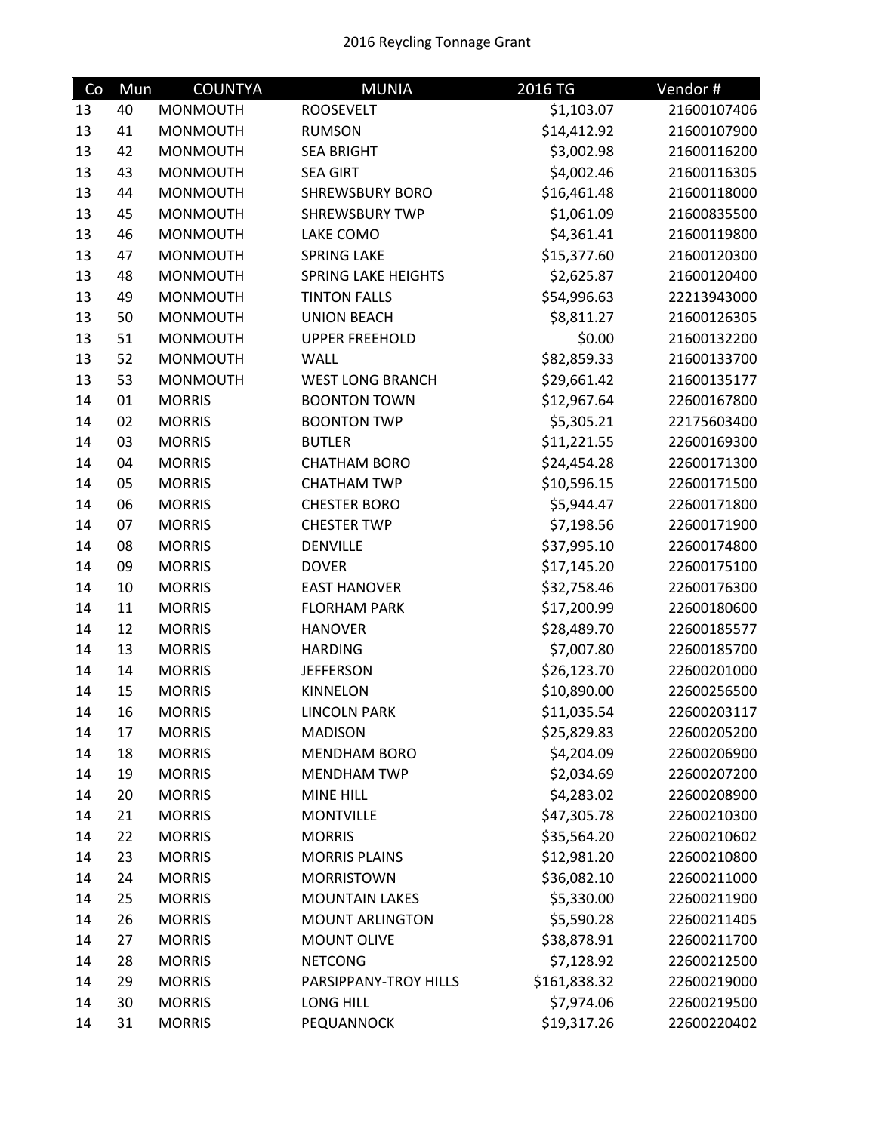| Co | Mun | <b>COUNTYA</b>  | <b>MUNIA</b>               | 2016 TG      | Vendor#     |
|----|-----|-----------------|----------------------------|--------------|-------------|
| 13 | 40  | <b>MONMOUTH</b> | <b>ROOSEVELT</b>           | \$1,103.07   | 21600107406 |
| 13 | 41  | <b>MONMOUTH</b> | <b>RUMSON</b>              | \$14,412.92  | 21600107900 |
| 13 | 42  | <b>MONMOUTH</b> | <b>SEA BRIGHT</b>          | \$3,002.98   | 21600116200 |
| 13 | 43  | <b>MONMOUTH</b> | <b>SEA GIRT</b>            | \$4,002.46   | 21600116305 |
| 13 | 44  | <b>MONMOUTH</b> | <b>SHREWSBURY BORO</b>     | \$16,461.48  | 21600118000 |
| 13 | 45  | <b>MONMOUTH</b> | <b>SHREWSBURY TWP</b>      | \$1,061.09   | 21600835500 |
| 13 | 46  | <b>MONMOUTH</b> | LAKE COMO                  | \$4,361.41   | 21600119800 |
| 13 | 47  | <b>MONMOUTH</b> | <b>SPRING LAKE</b>         | \$15,377.60  | 21600120300 |
| 13 | 48  | <b>MONMOUTH</b> | <b>SPRING LAKE HEIGHTS</b> | \$2,625.87   | 21600120400 |
| 13 | 49  | <b>MONMOUTH</b> | <b>TINTON FALLS</b>        | \$54,996.63  | 22213943000 |
| 13 | 50  | <b>MONMOUTH</b> | <b>UNION BEACH</b>         | \$8,811.27   | 21600126305 |
| 13 | 51  | <b>MONMOUTH</b> | <b>UPPER FREEHOLD</b>      | \$0.00       | 21600132200 |
| 13 | 52  | <b>MONMOUTH</b> | WALL                       | \$82,859.33  | 21600133700 |
| 13 | 53  | <b>MONMOUTH</b> | <b>WEST LONG BRANCH</b>    | \$29,661.42  | 21600135177 |
| 14 | 01  | <b>MORRIS</b>   | <b>BOONTON TOWN</b>        | \$12,967.64  | 22600167800 |
| 14 | 02  | <b>MORRIS</b>   | <b>BOONTON TWP</b>         | \$5,305.21   | 22175603400 |
| 14 | 03  | <b>MORRIS</b>   | <b>BUTLER</b>              | \$11,221.55  | 22600169300 |
| 14 | 04  | <b>MORRIS</b>   | <b>CHATHAM BORO</b>        | \$24,454.28  | 22600171300 |
| 14 | 05  | <b>MORRIS</b>   | <b>CHATHAM TWP</b>         | \$10,596.15  | 22600171500 |
| 14 | 06  | <b>MORRIS</b>   | <b>CHESTER BORO</b>        | \$5,944.47   | 22600171800 |
| 14 | 07  | <b>MORRIS</b>   | <b>CHESTER TWP</b>         | \$7,198.56   | 22600171900 |
| 14 | 08  | <b>MORRIS</b>   | <b>DENVILLE</b>            | \$37,995.10  | 22600174800 |
| 14 | 09  | <b>MORRIS</b>   | <b>DOVER</b>               | \$17,145.20  | 22600175100 |
| 14 | 10  | <b>MORRIS</b>   | <b>EAST HANOVER</b>        | \$32,758.46  | 22600176300 |
| 14 | 11  | <b>MORRIS</b>   | <b>FLORHAM PARK</b>        | \$17,200.99  | 22600180600 |
| 14 | 12  | <b>MORRIS</b>   | <b>HANOVER</b>             | \$28,489.70  | 22600185577 |
| 14 | 13  | <b>MORRIS</b>   | <b>HARDING</b>             | \$7,007.80   | 22600185700 |
| 14 | 14  | <b>MORRIS</b>   | <b>JEFFERSON</b>           | \$26,123.70  | 22600201000 |
| 14 | 15  | <b>MORRIS</b>   | <b>KINNELON</b>            | \$10,890.00  | 22600256500 |
| 14 | 16  | <b>MORRIS</b>   | <b>LINCOLN PARK</b>        | \$11,035.54  | 22600203117 |
| 14 | 17  | <b>MORRIS</b>   | <b>MADISON</b>             | \$25,829.83  | 22600205200 |
| 14 | 18  | <b>MORRIS</b>   | <b>MENDHAM BORO</b>        | \$4,204.09   | 22600206900 |
| 14 | 19  | <b>MORRIS</b>   | <b>MENDHAM TWP</b>         | \$2,034.69   | 22600207200 |
| 14 | 20  | <b>MORRIS</b>   | MINE HILL                  | \$4,283.02   | 22600208900 |
| 14 | 21  | <b>MORRIS</b>   | <b>MONTVILLE</b>           | \$47,305.78  | 22600210300 |
| 14 | 22  | <b>MORRIS</b>   | <b>MORRIS</b>              | \$35,564.20  | 22600210602 |
| 14 | 23  | <b>MORRIS</b>   | <b>MORRIS PLAINS</b>       | \$12,981.20  | 22600210800 |
| 14 | 24  | <b>MORRIS</b>   | <b>MORRISTOWN</b>          | \$36,082.10  | 22600211000 |
| 14 | 25  | <b>MORRIS</b>   | <b>MOUNTAIN LAKES</b>      | \$5,330.00   | 22600211900 |
| 14 | 26  | <b>MORRIS</b>   | <b>MOUNT ARLINGTON</b>     | \$5,590.28   | 22600211405 |
| 14 | 27  | <b>MORRIS</b>   | <b>MOUNT OLIVE</b>         | \$38,878.91  | 22600211700 |
| 14 | 28  | <b>MORRIS</b>   | <b>NETCONG</b>             | \$7,128.92   | 22600212500 |
| 14 | 29  | <b>MORRIS</b>   | PARSIPPANY-TROY HILLS      | \$161,838.32 | 22600219000 |
| 14 | 30  | <b>MORRIS</b>   | LONG HILL                  | \$7,974.06   | 22600219500 |
| 14 | 31  | <b>MORRIS</b>   | PEQUANNOCK                 | \$19,317.26  | 22600220402 |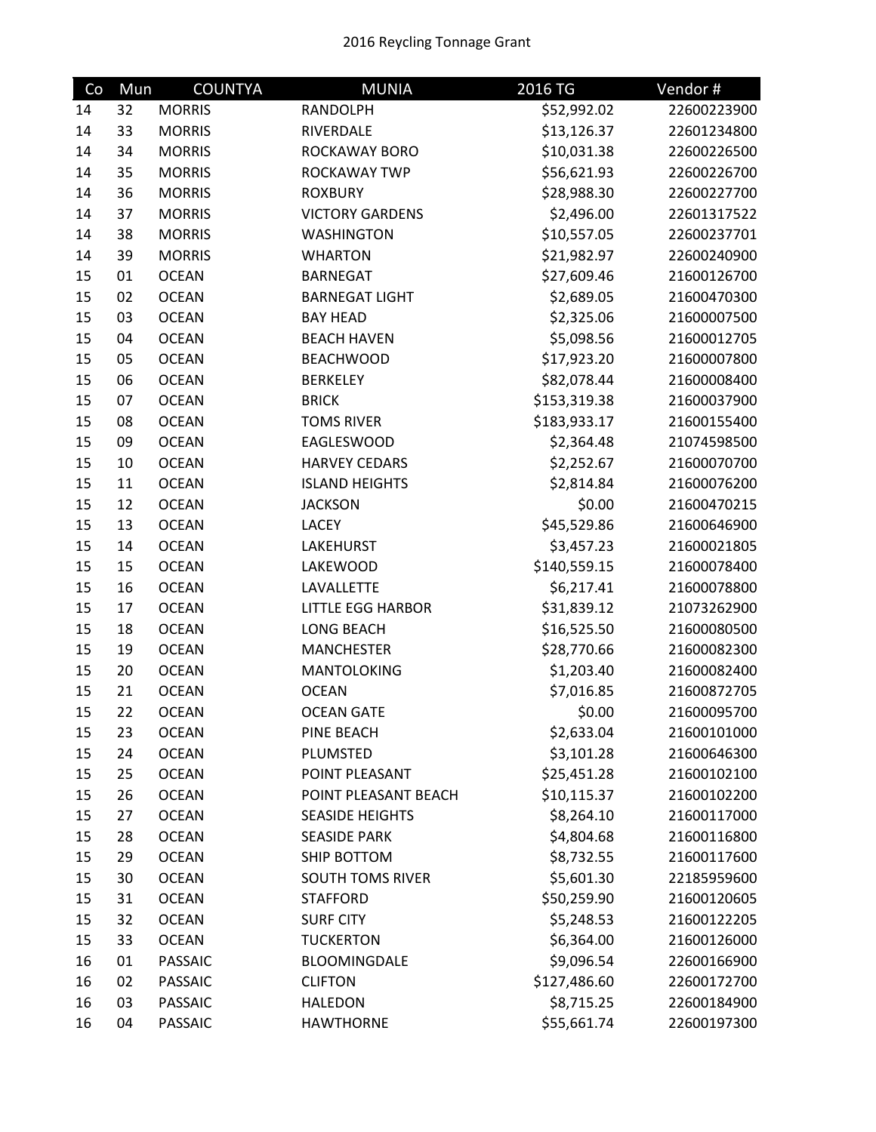| Co | Mun | <b>COUNTYA</b> | <b>MUNIA</b>             | 2016 TG      | Vendor#     |
|----|-----|----------------|--------------------------|--------------|-------------|
| 14 | 32  | <b>MORRIS</b>  | <b>RANDOLPH</b>          | \$52,992.02  | 22600223900 |
| 14 | 33  | <b>MORRIS</b>  | RIVERDALE                | \$13,126.37  | 22601234800 |
| 14 | 34  | <b>MORRIS</b>  | ROCKAWAY BORO            | \$10,031.38  | 22600226500 |
| 14 | 35  | <b>MORRIS</b>  | ROCKAWAY TWP             | \$56,621.93  | 22600226700 |
| 14 | 36  | <b>MORRIS</b>  | <b>ROXBURY</b>           | \$28,988.30  | 22600227700 |
| 14 | 37  | <b>MORRIS</b>  | <b>VICTORY GARDENS</b>   | \$2,496.00   | 22601317522 |
| 14 | 38  | <b>MORRIS</b>  | <b>WASHINGTON</b>        | \$10,557.05  | 22600237701 |
| 14 | 39  | <b>MORRIS</b>  | <b>WHARTON</b>           | \$21,982.97  | 22600240900 |
| 15 | 01  | <b>OCEAN</b>   | <b>BARNEGAT</b>          | \$27,609.46  | 21600126700 |
| 15 | 02  | <b>OCEAN</b>   | <b>BARNEGAT LIGHT</b>    | \$2,689.05   | 21600470300 |
| 15 | 03  | <b>OCEAN</b>   | <b>BAY HEAD</b>          | \$2,325.06   | 21600007500 |
| 15 | 04  | <b>OCEAN</b>   | <b>BEACH HAVEN</b>       | \$5,098.56   | 21600012705 |
| 15 | 05  | <b>OCEAN</b>   | <b>BEACHWOOD</b>         | \$17,923.20  | 21600007800 |
| 15 | 06  | <b>OCEAN</b>   | <b>BERKELEY</b>          | \$82,078.44  | 21600008400 |
| 15 | 07  | <b>OCEAN</b>   | <b>BRICK</b>             | \$153,319.38 | 21600037900 |
| 15 | 08  | <b>OCEAN</b>   | <b>TOMS RIVER</b>        | \$183,933.17 | 21600155400 |
| 15 | 09  | <b>OCEAN</b>   | <b>EAGLESWOOD</b>        | \$2,364.48   | 21074598500 |
| 15 | 10  | <b>OCEAN</b>   | <b>HARVEY CEDARS</b>     | \$2,252.67   | 21600070700 |
| 15 | 11  | <b>OCEAN</b>   | <b>ISLAND HEIGHTS</b>    | \$2,814.84   | 21600076200 |
| 15 | 12  | <b>OCEAN</b>   | <b>JACKSON</b>           | \$0.00       | 21600470215 |
| 15 | 13  | <b>OCEAN</b>   | <b>LACEY</b>             | \$45,529.86  | 21600646900 |
| 15 | 14  | <b>OCEAN</b>   | <b>LAKEHURST</b>         | \$3,457.23   | 21600021805 |
| 15 | 15  | <b>OCEAN</b>   | LAKEWOOD                 | \$140,559.15 | 21600078400 |
| 15 | 16  | <b>OCEAN</b>   | LAVALLETTE               | \$6,217.41   | 21600078800 |
| 15 | 17  | <b>OCEAN</b>   | <b>LITTLE EGG HARBOR</b> | \$31,839.12  | 21073262900 |
| 15 | 18  | <b>OCEAN</b>   | <b>LONG BEACH</b>        | \$16,525.50  | 21600080500 |
| 15 | 19  | <b>OCEAN</b>   | <b>MANCHESTER</b>        | \$28,770.66  | 21600082300 |
| 15 | 20  | <b>OCEAN</b>   | MANTOLOKING              | \$1,203.40   | 21600082400 |
| 15 | 21  | <b>OCEAN</b>   | <b>OCEAN</b>             | \$7,016.85   | 21600872705 |
| 15 | 22  | <b>OCEAN</b>   | <b>OCEAN GATE</b>        | \$0.00       | 21600095700 |
| 15 | 23  | <b>OCEAN</b>   | PINE BEACH               | \$2,633.04   | 21600101000 |
| 15 | 24  | <b>OCEAN</b>   | PLUMSTED                 | \$3,101.28   | 21600646300 |
| 15 | 25  | <b>OCEAN</b>   | POINT PLEASANT           | \$25,451.28  | 21600102100 |
| 15 | 26  | <b>OCEAN</b>   | POINT PLEASANT BEACH     | \$10,115.37  | 21600102200 |
| 15 | 27  | <b>OCEAN</b>   | <b>SEASIDE HEIGHTS</b>   | \$8,264.10   | 21600117000 |
| 15 | 28  | <b>OCEAN</b>   | <b>SEASIDE PARK</b>      | \$4,804.68   | 21600116800 |
| 15 | 29  | <b>OCEAN</b>   | SHIP BOTTOM              | \$8,732.55   | 21600117600 |
| 15 | 30  | <b>OCEAN</b>   | <b>SOUTH TOMS RIVER</b>  | \$5,601.30   | 22185959600 |
| 15 | 31  | <b>OCEAN</b>   | <b>STAFFORD</b>          | \$50,259.90  | 21600120605 |
| 15 | 32  | <b>OCEAN</b>   | <b>SURF CITY</b>         | \$5,248.53   | 21600122205 |
| 15 | 33  | <b>OCEAN</b>   | <b>TUCKERTON</b>         | \$6,364.00   | 21600126000 |
| 16 | 01  | <b>PASSAIC</b> | BLOOMINGDALE             | \$9,096.54   | 22600166900 |
| 16 | 02  | PASSAIC        | <b>CLIFTON</b>           | \$127,486.60 | 22600172700 |
| 16 | 03  | <b>PASSAIC</b> | <b>HALEDON</b>           | \$8,715.25   | 22600184900 |
| 16 | 04  | <b>PASSAIC</b> | <b>HAWTHORNE</b>         | \$55,661.74  | 22600197300 |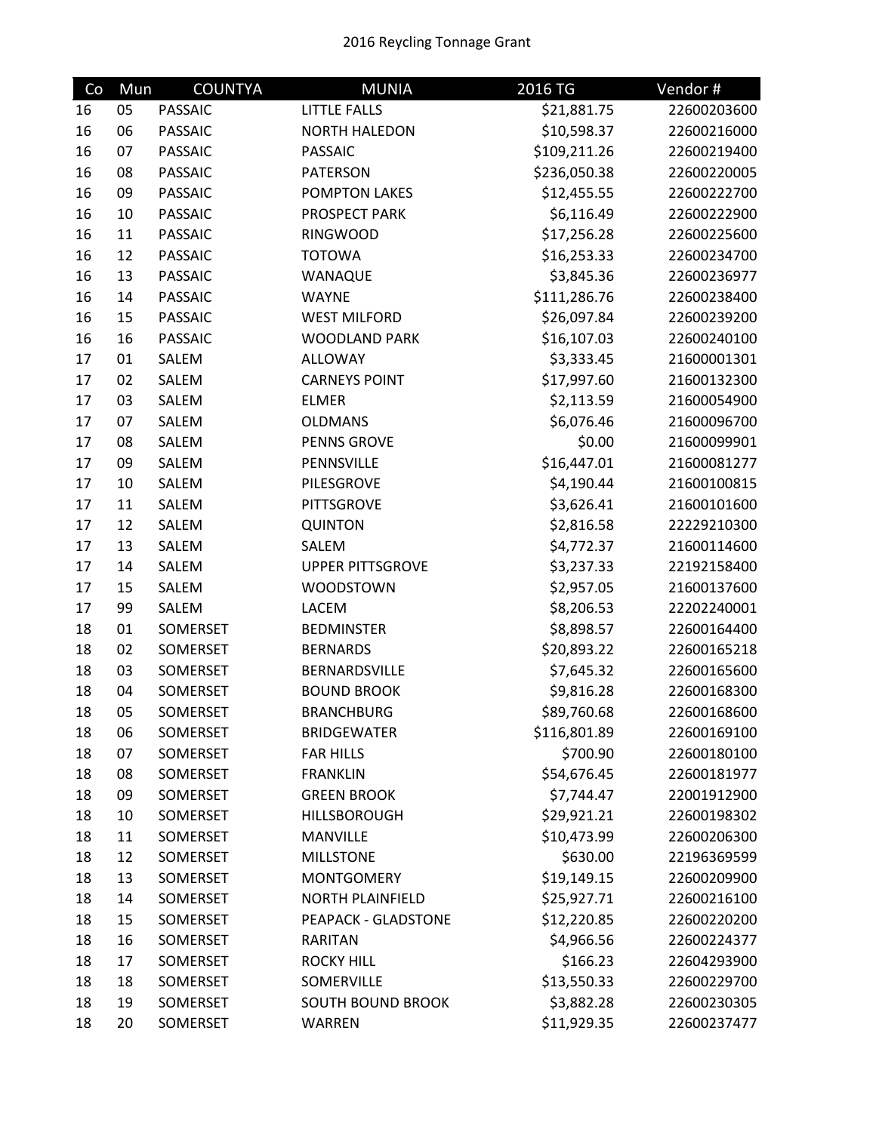## 2016 Reycling Tonnage Grant

| Co | Mun | <b>COUNTYA</b> | <b>MUNIA</b>             | $2016$ TG    | Vendor#     |
|----|-----|----------------|--------------------------|--------------|-------------|
| 16 | 05  | <b>PASSAIC</b> | <b>LITTLE FALLS</b>      | \$21,881.75  | 22600203600 |
| 16 | 06  | <b>PASSAIC</b> | <b>NORTH HALEDON</b>     | \$10,598.37  | 22600216000 |
| 16 | 07  | <b>PASSAIC</b> | <b>PASSAIC</b>           | \$109,211.26 | 22600219400 |
| 16 | 08  | <b>PASSAIC</b> | <b>PATERSON</b>          | \$236,050.38 | 22600220005 |
| 16 | 09  | <b>PASSAIC</b> | <b>POMPTON LAKES</b>     | \$12,455.55  | 22600222700 |
| 16 | 10  | <b>PASSAIC</b> | PROSPECT PARK            | \$6,116.49   | 22600222900 |
| 16 | 11  | <b>PASSAIC</b> | <b>RINGWOOD</b>          | \$17,256.28  | 22600225600 |
| 16 | 12  | <b>PASSAIC</b> | <b>TOTOWA</b>            | \$16,253.33  | 22600234700 |
| 16 | 13  | <b>PASSAIC</b> | WANAQUE                  | \$3,845.36   | 22600236977 |
| 16 | 14  | <b>PASSAIC</b> | <b>WAYNE</b>             | \$111,286.76 | 22600238400 |
| 16 | 15  | <b>PASSAIC</b> | <b>WEST MILFORD</b>      | \$26,097.84  | 22600239200 |
| 16 | 16  | <b>PASSAIC</b> | <b>WOODLAND PARK</b>     | \$16,107.03  | 22600240100 |
| 17 | 01  | SALEM          | <b>ALLOWAY</b>           | \$3,333.45   | 21600001301 |
| 17 | 02  | SALEM          | <b>CARNEYS POINT</b>     | \$17,997.60  | 21600132300 |
| 17 | 03  | SALEM          | <b>ELMER</b>             | \$2,113.59   | 21600054900 |
| 17 | 07  | SALEM          | <b>OLDMANS</b>           | \$6,076.46   | 21600096700 |
| 17 | 08  | SALEM          | <b>PENNS GROVE</b>       | \$0.00       | 21600099901 |
| 17 | 09  | SALEM          | PENNSVILLE               | \$16,447.01  | 21600081277 |
| 17 | 10  | SALEM          | PILESGROVE               | \$4,190.44   | 21600100815 |
| 17 | 11  | SALEM          | <b>PITTSGROVE</b>        | \$3,626.41   | 21600101600 |
| 17 | 12  | SALEM          | <b>QUINTON</b>           | \$2,816.58   | 22229210300 |
| 17 | 13  | SALEM          | SALEM                    | \$4,772.37   | 21600114600 |
| 17 | 14  | SALEM          | <b>UPPER PITTSGROVE</b>  | \$3,237.33   | 22192158400 |
| 17 | 15  | SALEM          | <b>WOODSTOWN</b>         | \$2,957.05   | 21600137600 |
| 17 | 99  | SALEM          | LACEM                    | \$8,206.53   | 22202240001 |
| 18 | 01  | SOMERSET       | <b>BEDMINSTER</b>        | \$8,898.57   | 22600164400 |
| 18 | 02  | SOMERSET       | <b>BERNARDS</b>          | \$20,893.22  | 22600165218 |
| 18 | 03  | SOMERSET       | BERNARDSVILLE            | \$7,645.32   | 22600165600 |
| 18 | 04  | SOMERSET       | <b>BOUND BROOK</b>       | \$9,816.28   | 22600168300 |
| 18 | 05  | SOMERSET       | <b>BRANCHBURG</b>        | \$89,760.68  | 22600168600 |
| 18 | 06  | SOMERSET       | <b>BRIDGEWATER</b>       | \$116,801.89 | 22600169100 |
| 18 | 07  | SOMERSET       | <b>FAR HILLS</b>         | \$700.90     | 22600180100 |
| 18 | 08  | SOMERSET       | <b>FRANKLIN</b>          | \$54,676.45  | 22600181977 |
| 18 | 09  | SOMERSET       | <b>GREEN BROOK</b>       | \$7,744.47   | 22001912900 |
| 18 | 10  | SOMERSET       | <b>HILLSBOROUGH</b>      | \$29,921.21  | 22600198302 |
| 18 | 11  | SOMERSET       | <b>MANVILLE</b>          | \$10,473.99  | 22600206300 |
| 18 | 12  | SOMERSET       | <b>MILLSTONE</b>         | \$630.00     | 22196369599 |
| 18 | 13  | SOMERSET       | <b>MONTGOMERY</b>        | \$19,149.15  | 22600209900 |
| 18 | 14  | SOMERSET       | <b>NORTH PLAINFIELD</b>  | \$25,927.71  | 22600216100 |
| 18 | 15  | SOMERSET       | PEAPACK - GLADSTONE      | \$12,220.85  | 22600220200 |
| 18 | 16  | SOMERSET       | <b>RARITAN</b>           | \$4,966.56   | 22600224377 |
| 18 | 17  | SOMERSET       | <b>ROCKY HILL</b>        | \$166.23     | 22604293900 |
| 18 | 18  | SOMERSET       | SOMERVILLE               | \$13,550.33  | 22600229700 |
| 18 | 19  | SOMERSET       | <b>SOUTH BOUND BROOK</b> | \$3,882.28   | 22600230305 |
| 18 | 20  | SOMERSET       | WARREN                   | \$11,929.35  | 22600237477 |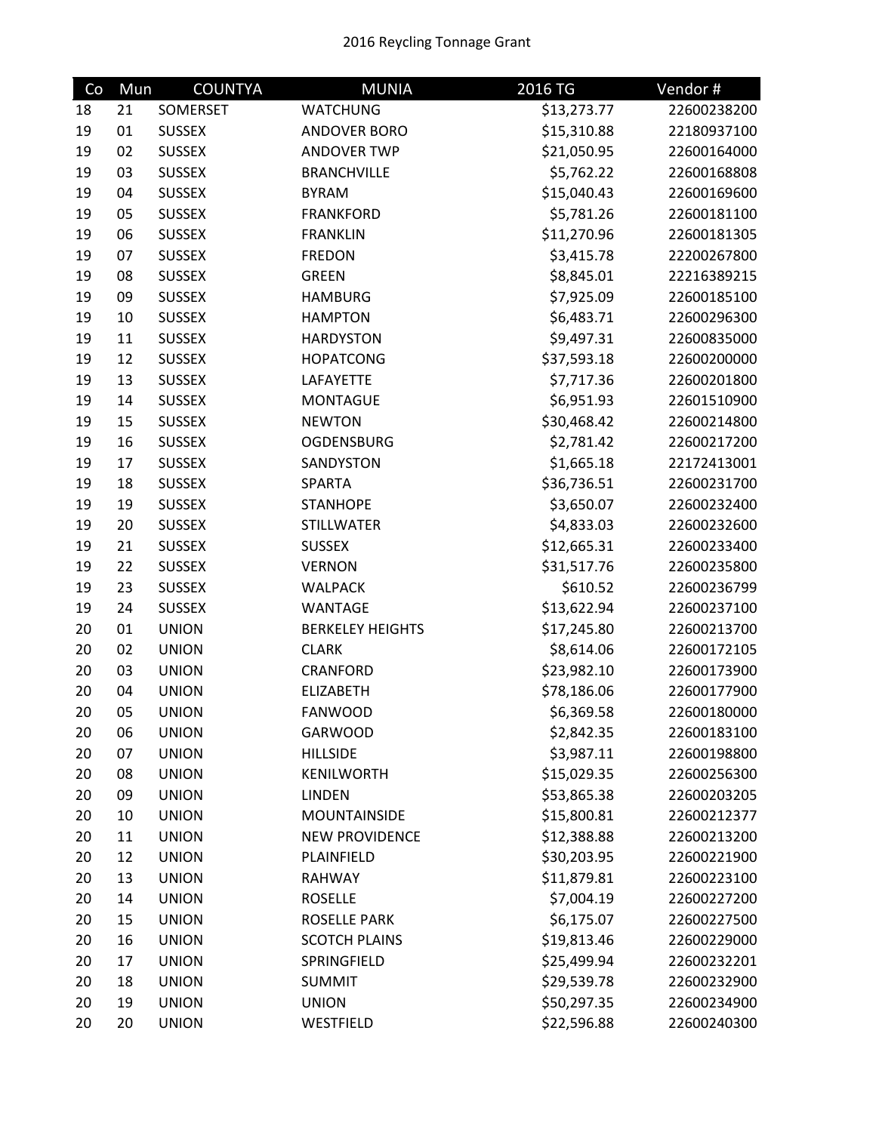## 2016 Reycling Tonnage Grant

| Co | Mun | <b>COUNTYA</b> | <b>MUNIA</b>            | 2016 TG     | Vendor#     |
|----|-----|----------------|-------------------------|-------------|-------------|
| 18 | 21  | SOMERSET       | <b>WATCHUNG</b>         | \$13,273.77 | 22600238200 |
| 19 | 01  | <b>SUSSEX</b>  | ANDOVER BORO            | \$15,310.88 | 22180937100 |
| 19 | 02  | <b>SUSSEX</b>  | <b>ANDOVER TWP</b>      | \$21,050.95 | 22600164000 |
| 19 | 03  | <b>SUSSEX</b>  | <b>BRANCHVILLE</b>      | \$5,762.22  | 22600168808 |
| 19 | 04  | <b>SUSSEX</b>  | <b>BYRAM</b>            | \$15,040.43 | 22600169600 |
| 19 | 05  | <b>SUSSEX</b>  | <b>FRANKFORD</b>        | \$5,781.26  | 22600181100 |
| 19 | 06  | <b>SUSSEX</b>  | <b>FRANKLIN</b>         | \$11,270.96 | 22600181305 |
| 19 | 07  | <b>SUSSEX</b>  | <b>FREDON</b>           | \$3,415.78  | 22200267800 |
| 19 | 08  | <b>SUSSEX</b>  | <b>GREEN</b>            | \$8,845.01  | 22216389215 |
| 19 | 09  | <b>SUSSEX</b>  | <b>HAMBURG</b>          | \$7,925.09  | 22600185100 |
| 19 | 10  | <b>SUSSEX</b>  | <b>HAMPTON</b>          | \$6,483.71  | 22600296300 |
| 19 | 11  | <b>SUSSEX</b>  | <b>HARDYSTON</b>        | \$9,497.31  | 22600835000 |
| 19 | 12  | <b>SUSSEX</b>  | <b>HOPATCONG</b>        | \$37,593.18 | 22600200000 |
| 19 | 13  | <b>SUSSEX</b>  | LAFAYETTE               | \$7,717.36  | 22600201800 |
| 19 | 14  | <b>SUSSEX</b>  | <b>MONTAGUE</b>         | \$6,951.93  | 22601510900 |
| 19 | 15  | <b>SUSSEX</b>  | <b>NEWTON</b>           | \$30,468.42 | 22600214800 |
| 19 | 16  | <b>SUSSEX</b>  | <b>OGDENSBURG</b>       | \$2,781.42  | 22600217200 |
| 19 | 17  | <b>SUSSEX</b>  | SANDYSTON               | \$1,665.18  | 22172413001 |
| 19 | 18  | <b>SUSSEX</b>  | SPARTA                  | \$36,736.51 | 22600231700 |
| 19 | 19  | <b>SUSSEX</b>  | <b>STANHOPE</b>         | \$3,650.07  | 22600232400 |
| 19 | 20  | <b>SUSSEX</b>  | <b>STILLWATER</b>       | \$4,833.03  | 22600232600 |
| 19 | 21  | <b>SUSSEX</b>  | <b>SUSSEX</b>           | \$12,665.31 | 22600233400 |
| 19 | 22  | <b>SUSSEX</b>  | <b>VERNON</b>           | \$31,517.76 | 22600235800 |
| 19 | 23  | <b>SUSSEX</b>  | WALPACK                 | \$610.52    | 22600236799 |
| 19 | 24  | <b>SUSSEX</b>  | <b>WANTAGE</b>          | \$13,622.94 | 22600237100 |
| 20 | 01  | <b>UNION</b>   | <b>BERKELEY HEIGHTS</b> | \$17,245.80 | 22600213700 |
| 20 | 02  | <b>UNION</b>   | <b>CLARK</b>            | \$8,614.06  | 22600172105 |
| 20 | 03  | <b>UNION</b>   | CRANFORD                | \$23,982.10 | 22600173900 |
| 20 | 04  | <b>UNION</b>   | <b>ELIZABETH</b>        | \$78,186.06 | 22600177900 |
| 20 | 05  | <b>UNION</b>   | <b>FANWOOD</b>          | \$6,369.58  | 22600180000 |
| 20 | 06  | <b>UNION</b>   | <b>GARWOOD</b>          | \$2,842.35  | 22600183100 |
| 20 | 07  | <b>UNION</b>   | <b>HILLSIDE</b>         | \$3,987.11  | 22600198800 |
| 20 | 08  | <b>UNION</b>   | <b>KENILWORTH</b>       | \$15,029.35 | 22600256300 |
| 20 | 09  | <b>UNION</b>   | <b>LINDEN</b>           | \$53,865.38 | 22600203205 |
| 20 | 10  | <b>UNION</b>   | <b>MOUNTAINSIDE</b>     | \$15,800.81 | 22600212377 |
| 20 | 11  | <b>UNION</b>   | <b>NEW PROVIDENCE</b>   | \$12,388.88 | 22600213200 |
| 20 | 12  | <b>UNION</b>   | PLAINFIELD              | \$30,203.95 | 22600221900 |
| 20 | 13  | <b>UNION</b>   | <b>RAHWAY</b>           | \$11,879.81 | 22600223100 |
| 20 | 14  | <b>UNION</b>   | <b>ROSELLE</b>          | \$7,004.19  | 22600227200 |
| 20 | 15  | <b>UNION</b>   | <b>ROSELLE PARK</b>     | \$6,175.07  | 22600227500 |
| 20 | 16  | <b>UNION</b>   | <b>SCOTCH PLAINS</b>    | \$19,813.46 | 22600229000 |
| 20 | 17  | <b>UNION</b>   | SPRINGFIELD             | \$25,499.94 | 22600232201 |
| 20 | 18  | <b>UNION</b>   | <b>SUMMIT</b>           | \$29,539.78 | 22600232900 |
| 20 | 19  | <b>UNION</b>   | <b>UNION</b>            | \$50,297.35 | 22600234900 |
| 20 | 20  | <b>UNION</b>   | WESTFIELD               | \$22,596.88 | 22600240300 |